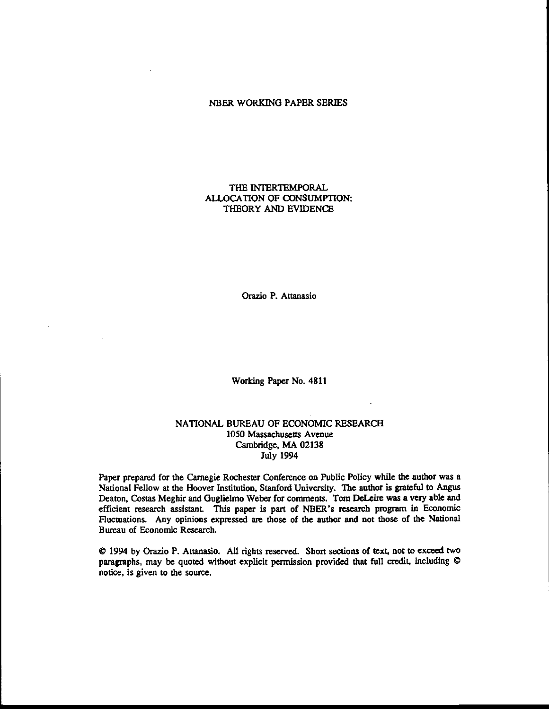# NBER WORKING PAPER SERIES

# THE INTERTEMPORAL ALLOCATION OF CONSUMPTION: THEORY AND EVIDENCE

Orazio P. Attanasio

Working Paper No. 4811

# NATIONAL BUREAU OF ECONOMIC RESEARCH 1050 Massachusetts Avenue Cambridge, MA 02138 July 1994

Paper prepared for the Carnegie Rochester Conference on Public Policy while the author was a National Fellow at the Hoover Institution, Stanford University. The author is grateful to Angus Deaton, Costas Meghir and Guglielmo Weber for comments. Tom DeLeire was a vety able and efficient research assistant This paper is part of NBER's research program in Economic Fluctuations. Any opinions expressed are those of the author and not those of the National Bureau of Economic Research.

C 1994 by Orazio P. Attanasio. All rights reserved. Short sections of text, not to exceed two paragraphs, may be quoted without explicit permission provided that full credit, including  $\odot$ notice, is given to the source.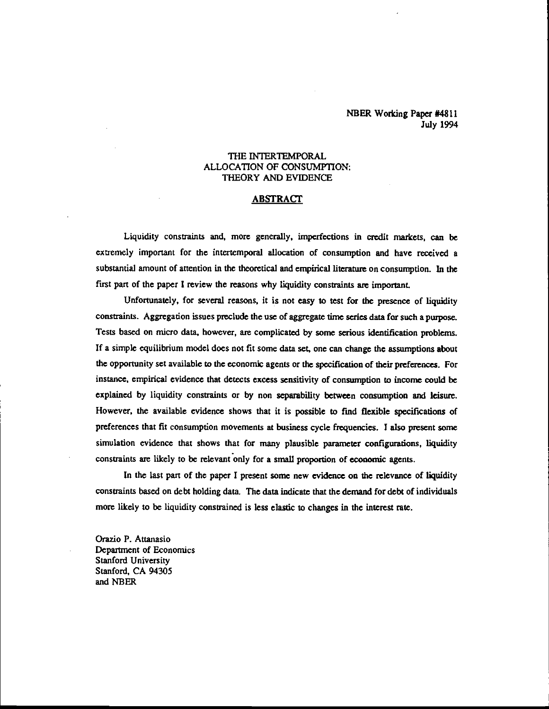# NBER Working Paper #4811 July 1994

# THE INTERTEMPORAL ALLOCATION OF CONSUMPTION: THEORY AND EVIDENCE

### ABSTRACT

Liquidity constraints and, more generally, imperfections in credit markets, can be extremely important for the intertemporal allocation of consumption and have received a substantial amount of attention in the theoretical and empirical literature on consumption. In the first part of the paper I review the reasons why liquidity constraints are important.

Unfortunately, for several reasons, it is not easy to test for the presence of liquidity constraints. Aggregation issues preclude the use of aggregate time series data for such a purpose. Tests based on micro data, however, are complicated by some serious identification problems. If a simple equilibrium model does not fit some data set, one can change the assumptions about the opportunity set available to the economic agents or the specification of their preferences. For instance, empirical evidence that detects excess sensitivity of consumption to income could be explained by liquidity constraints or by non separability between consumption and leisure. However, the available evidence shows that it is possible to find flexible specifications of preferences that fit consumption movements at business cycle frequencies. I also present some simulation evidence that shows that for many plausible parameter configurations, liquidity constraints are likely to be relevant only for a small proportion of economic agents.

In the last part of the paper I present some new evidence on the relevance of liquidity constraints based on debt holding data. The data indicate that the demand for debt of individuals more likely to be liquidity constrained is less elastic to changes in the interest rate.

Orazio P. Attanasio Department of Economics Stanford University Stanford, CA 94305 and NBER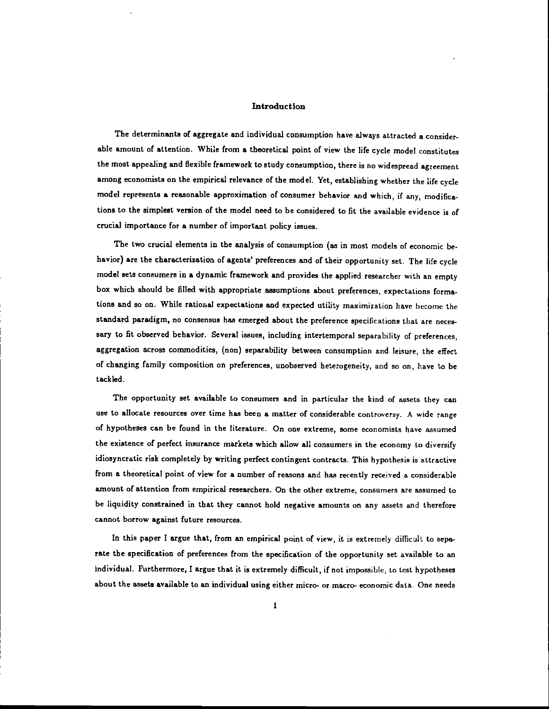#### Introduction

The determinants of aggregate and individual consumption have always attracted a considerable amount of attention. While from a theoretical point of view the life cycle model constitutes the most appealing and flexible framework to study consumption, there is no widespread agreement among economists on the empirical relevance of the model. Yet, establishing whether the life cycle model represents a reasonable approximation of consumer behavior and which, if any, modifications to the simplest version of the model need to be considered to fit the available evidence is of crucial importance for a number of important policy issues.

The two crucial elements in the analysis of consumption (as in most models of economic behavior) are the characterization of agents' preferences and of their opportunity set. The life cycle model sets consumers in a dynamic framework and provides the applied researcher with an empty box which should be filled with appropriate assumptions about preferences, expectations formations and so on. While rational expectations and expected utility maximization have become the standard paradigm, no consensus has emerged about the preference specifications that are necessary to fit observed behavior. Several issues, including intertemporal separability of preferences, aggregation across commodities, (non) separability between consumption and leisure, the effect of changing family composition on preferences, unobserved heterogeneity, and so on, have to be tackled.

The opportunity set available to consumers and in particular the kind of assets they can use to allocate resources over time has been a matter of considerable controversy. A wide range of hypotheses can be found in the literature. On one extreme, some economists have assumed the existence of perfect insurance markets which allow all consumers in the economy to diversify idiosyncratic risk completely by writing perfect contingent contracts. This hypothesis is attractive from a theoretical point of view for a number of reasons and has recently received a considerable amount of attention from empirical researchers. On the other extreme, consumers are assumed to be liquidity constrained in that they cannot hold negative amounts on any assets and therefore cannot borrow against future resources.

In this paper I argue that, from an empirical point of view, it is extremely difficult to separate the specification of preferences from the specification of the opportunity set available to an individual. Furthermore, I argue that it is extremely difficult, if not impossible, to test hypotheses about the assets available to an individual using either micro- or macro- economic data. One needs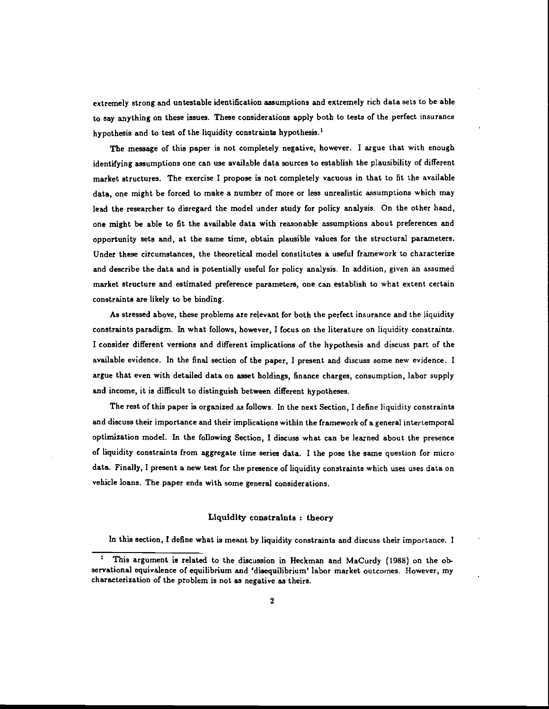extremely strong and untestable identification assumptions and extremely rich data sets to be able to say anything on these issues. These considerations apply both to tests of the perfect insurance hypothesis and to test of the liquidity constraints hypothesis.'

The message of this paper is not completely negative, however. I argue that with enough identifying assumptions one can use available data sources to establish the plausibility of different market structures. The exercise I propose is not completely vacuous in that to fit the available data, one might be forced to make a number of more or less unrealistic assumptions which may lead the researcher to disregard the model under study for policy analysis. On the other hand, one might be able to fit the available data with reasonable assumptions about preferences and opportunity sets and, at the same time, obtain plausible values for the structural parameters. Under these circumstances, the theoretical model constitutes a useful framework to characterize and describe the data and is potentially useful for policy analysis. In addition, given an assumed market structure and estimated preference parameters, one can establish to what extent certain constraints are likely to be binding.

As stressed above, these problems are relevant for both the perfect insurance and the liquidity constraints paradigm. In what follows, however, I focus on the literature on liquidity constraints. I consider different versions and different implications of the hypothesis and discuss part of the available eyidence. In the final section of the paper, I present and discuss some new evidence, I argue that even with detailed data on asset holdings, finance charges, consumption, labor supply and income, it is difficult to distinguish between different hypotheses.

The rest of this paper is organized as follows. In the next Section, I define liquidity constraints and discuss their importance and their implications within the framework of a general intertemporal optimization model. In the following Section, ! discuss what can be learned about the presence of liquidity constraints from aggregate time series data. I the pose the same question for micro data. Finally, I present a new test for the presence of liquidity constraints which uses uses data on vehicle loans. The paper ends with some general considerations.

### Liquidity constraints: theory

In this section, I define what is meant by liquidity constraints and discuss their importance. I

 $\mathbf{1}$ This argument is related to the discussion in Heckman and MaCurdy (1988) on the observational equivalence of equilibrium and 'disequilibrium' labor market outcomes. However, my characterization of the problem is not as negative as theirs.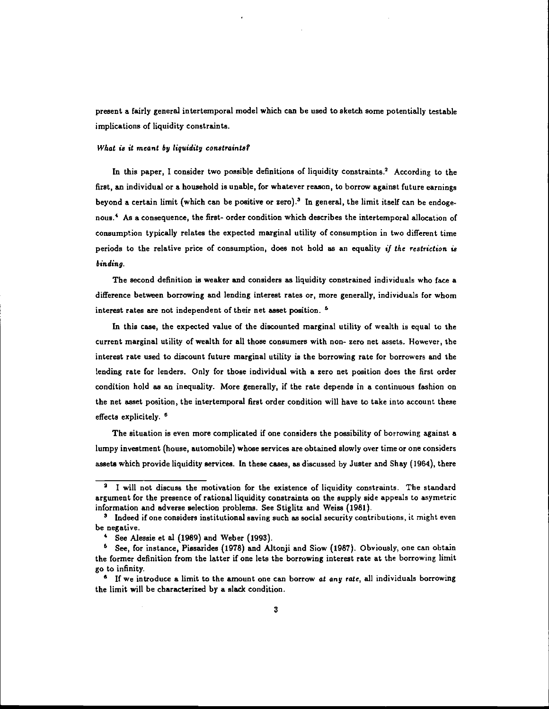present a fairly general intertemporal model which can be used to sketch some potentially testable implications of liquidity constraints.

#### What is it meant by liquidity constraints?

In this paper, I consider two possible definitions of liquidity constraints.<sup>2</sup> According to the first, an individual or a household is unable, for whatever reason, to borrow against future earnings beyond a certain limit (which can be positive or zero).<sup>3</sup> In general, the limit itself can be endogenous.<sup>4</sup> As a consequence, the first- order condition which describes the intertemporal allocation of consumption typically relates the expected marginal utility of consumption in two different time periods to the relative price of consumption, does not hold as an equality if the restriction is binding.

The second definition is weaker and considers as liquidity constrained individuals who face a difference between borrowing and lending interest rates or, more generally, individuals for whom interest rates are not independent of their net asset position.

In this case, the expected value of the discounted marginal utility of wealth is equal to the current marginal utility of wealth for all those consumers with non- zero net assets. However, the interest rate used to discount future marginal utility is the borrowing rate for borrowers and the lending rate for lenders. Only for those individual with a zero net position does the first order condition hold as an inequality. More generally, if the rate depends in a continuous fashion on the net asset position, the intertemporal first order condition will have to take into account these effects explicitely.<sup>6</sup>

The situation is even more complicated if one considers the possibility of borrowing against a lumpy investment (house, automobile) whose services are obtained slowly over time or one considers assets which provide liquidity services. In these cases, as discussed by Juster and Shay (1964), there

<sup>2</sup> I will not discuss the motivation for the existence of liquidity constraints. The standard argument for the presence of rational liquidity constraints on the supply side appeals to asy metric information and adverse selection problems. See Stiglitz and Weiss (1981)

<sup>&</sup>lt;sup>3</sup> Indeed if one considers institutional saving such as social security contributions, it might even be negative.

See Alessie et at (1989) and Weber (1993).

<sup>&</sup>lt;sup>6</sup> See, for instance, Pissarides (1978) and Altonji and Siow (1987). Obviously, one can obtain the former definition from the latter if one lets the borrowing interest rate at the borrowing limit go to infinity.

go to infinity.<br><sup>6</sup> If we introduce a limit to the amount one can borrow at any rate, all individuals borrowing the limit will be characterized by a slack condition.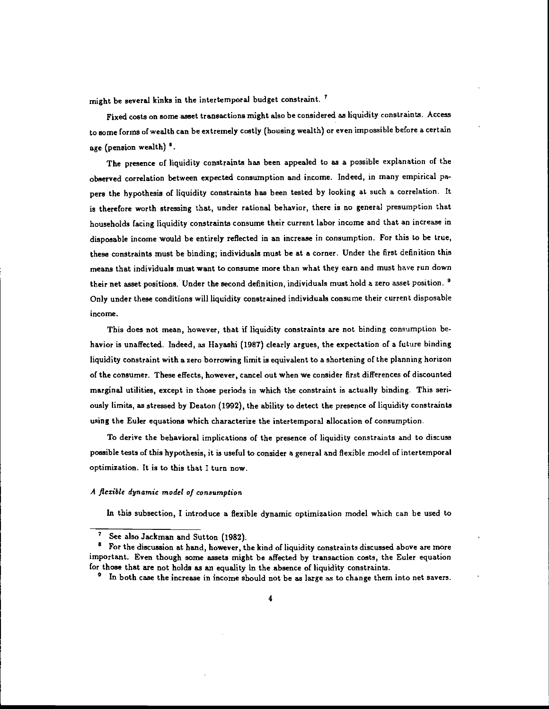might be several kinks in the intertemporal budget constraint.<sup>7</sup>

Fixed costs on some asset transactions might also be considered as liquidity constraints. Access to some forms of wealth can be extremely costly (housing wealth) or even impossible before a certain age (pension wealth)<sup>5</sup>.

The presence of liquidity constraints has been appealed to as a possible explanation of the observed correlation between expected consumption and income. Indeed, in many empirical papers the hypothesis of liquidity constraints has been tested by looking at such a correlation. It is therefore worth stressing that, under rational behavior, there is no general presumption that households facing liquidity constraints consume their current labor income and that an increase in disposable income would be entirely reflected in an increase in consumption. For this to be true, these constraints must be binding; individuals must be at a corner. Under the first definition this means that individuals must want to consume more than what they earn and must have run down their net asset positions. Under the second definition, individuals must hold a zero asset position.<sup>9</sup> Only under these conditions will liquidity constrained individuals consume their current disposable income.

This does not mean, however, that if liquidity constraints are not binding consumption behavior is unaffected. Indeed, as Hayashi (1987) clearly argues, the expectation of a future binding liquidity constraint with a zero borrowing limit is equivalent to a shortening of the planning horizon of the consumer. These effects, however, cancel out when we consider first differences of discounted marginal utilities, except in those periods in which the constraint is actually binding. This seriously limits, as stressed by Deaton (1992), the ability to detect the presence of tiquidity constraints using the Euler equations which characterize the intertemporal allocation of consumption.

To derive the behavioral implications of the presence of liquidity constraints and to discuss possible tests of this hypothesis, it is useful to consider a general and flexible model of intertemporal optimization. It is to this that I turn now.

# A flexible dynamic model of consumption

In this subsection, I introduce a flexible dynamic optimization model which can be used to

See also Jackman and Sutton (1982).

For the discussion at hand, however, the kind of liquidity constraints discussed above are more important. Even though some assets might be affected by transaction costs, the Euler equation for those that are not holds as an equality in the absence of liquidity constraints.

<sup>&</sup>lt;sup>9</sup> In both case the increase in income should not be as large as to change them into net savers.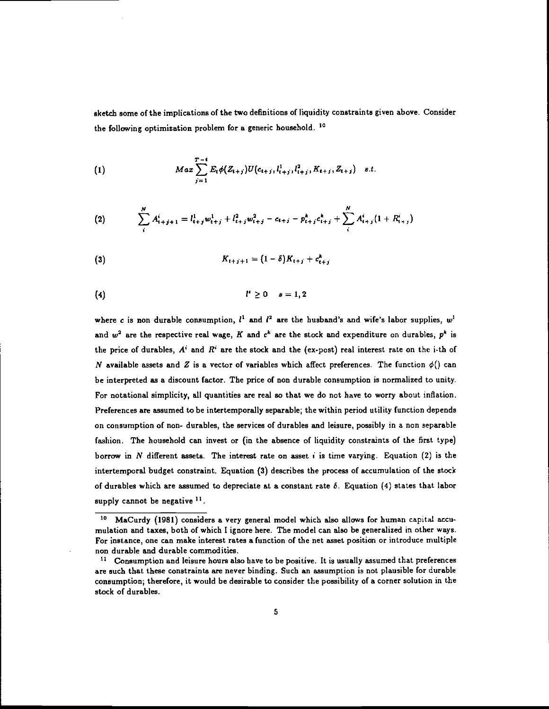sketch some of the implications of the two deftnitions of liquidity constraints given above. Consider the following optimization problem for a generic household.<sup>10</sup>

(1) 
$$
Max \sum_{j=1}^{T-t} E_t \phi(Z_{t+j}) U(c_{t+j}, l_{t+j}^1, l_{t+j}^2, K_{t+j}, Z_{t+j}) \quad s.t.
$$

(2) 
$$
\sum_{i}^{N} A_{t+j+1}^{i} = l_{t+j}^{1} w_{t+j}^{1} + l_{t+j}^{2} w_{t+j}^{2} - c_{t+j} - p_{t+j}^{k} c_{t+j}^{k} + \sum_{i}^{N} A_{t+j}^{i} (1 + R_{t+j}^{i})
$$

(3) 
$$
K_{t+j+1} = (1-\delta)K_{t+j} + c_{t+j}^k
$$

(4) 1.>O s=1,2

where c is non durable consumption,  $l^1$  and  $l^2$  are the husband's and wife's labor supplies,  $w^1$ and  $w^2$  are the respective real wage, K and  $c^k$  are the stock and expenditure on durables,  $p^k$  is the price of durables,  $A^i$  and  $R^i$  are the stock and the (ex-post) real interest rate on the i-th of N available assets and Z is a vector of variables which affect preferences. The function  $\phi()$  can be interpreted as a discount factor. The price of non durable consumption is normalized to unity. For notational simplicity, all quantities are real so that we do not have to worry about inflation. Preferences are assumed to be intertemporally separable; the within period utility function depends on consumption of non- durables, the services of durables and leisure, possibly in a non separable fashion. The household can invest or (in the absence of liquidity constraints of the first type) borrow in N different assets. The interest rate on asset  $\mathbf i$  is time varying. Equation (2) is the intertemporal budget constraint. Equation (3) describes the process of accumulation of the stock of durables which are assumed to depreciate at a constant rate  $\delta$ . Equation (4) states that labor supply cannot be negative  $^{11}$ .

 ${\bf 10}$ MaCurdy (1981) considers a very general model which also allows for human capital accumulation and taxes, both of which I ignore here. The model can also be generalized in other ways. For instance, one can make interest rates a function of the net asset position or introduce multiple non durable and durable commodities.

 $11$  Consumption and leisure hours also have to be positive. It is usually assumed that preferences are such that these constraints are never binding. Such an assumption is not plausible for durable consumption; therefore, it would be desirable to consider the possibility of a corner solution in the stock of durables.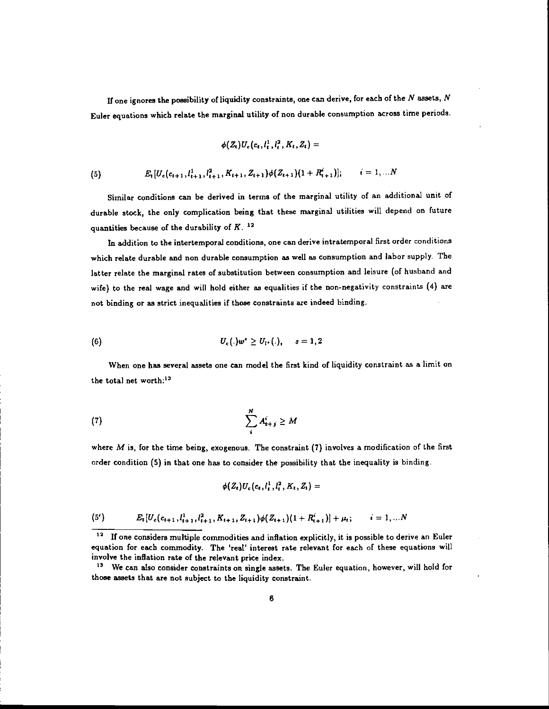If one ignores the possibility of liquidity constraints, one can derive, for each of the  $N$  assets,  $N$ Euler equations which relate the marginal utility of non durable consumption across time periods.

$$
\phi(Z_t)U_c(c_t,l_t^1,l_t^2,K_t,Z_t)=
$$

(5) 
$$
E_t[U_c(c_{t+1}, l_{t+1}^1, l_{t+1}^2, K_{t+1}, Z_{t+1})\phi(Z_{t+1})(1 + R_{t+1}^i)]; \qquad i = 1, ...N
$$

Similar conditions can be derived in terms of the marginal utility of an additional unit of durable stock, the only complication being that these marginal utilities will depend on future quantities because of the durability of  $K$ . <sup>12</sup>

In addition to the intertemporal conditions, one can derive intratemporal first order conditions which relate durable and non durable consumption as well as consumption and labor supply. The latter relate the marginal rates of substitution between consumption and leisure (of husband and wife) to the real wage and will hold either as equalities if the non-negativity constraints (4) are not binding or as strict inequalities if those constraints are indeed binding.

$$
(6) \hspace{1cm} U_c(.)w^s \geq U_{i^*}(.) , \hspace{1cm} s=1,2
$$

When one has several assets one can model the first kind of liquidity constraint as a limit on the total net worth:13

$$
(7) \qquad \qquad \sum_{i}^{N} A_{i+j}^{i} \geq M
$$

where  $M$  is, for the time being, exogenous. The constraint  $(7)$  involves a modification of the first order condition (5) in that one has to consider the possibility that the inequality is binding.

$$
\phi(Z_t)U_c(c_t,l_t^1,l_t^2,K_t,Z_t)=
$$

$$
(5') \hspace{1cm} E_t[U_c(c_{t+1},l_{t+1}^1,l_{t+1}^2,K_{t+1},Z_{t+1})\phi(Z_{t+1})(1+R_{t+1}^i)] + \mu_i; \hspace{1cm} i=1,...N
$$

 $\overline{12}$ if one considers multiple commodities and inflation explicitly, it is possible to derive an Euler equation for each commodity. The 'real' interest rate relevant for each of these equations will involve the inflation rate of the relevant price index.

<sup>13</sup> We can also consider constraints on single assets. The Euler equation, however, will hold for those assets that are not subject to the liquidity constraint.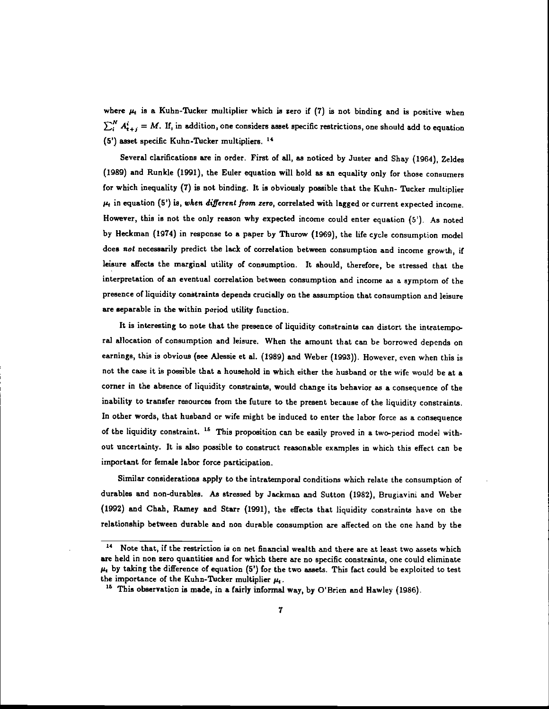where  $\mu_t$  is a Kuhn-Tucker multiplier which is zero if (7) is not binding and is positive when  $\sum_{i=1}^{N} A_{i+1}^{i} = M$ . If, in addition, one considers asset specific restrictions, one should add to equation (5') asset specific Kuhn-Tucker multipliers. 14

Several clarifications are in order. First of all, as noticed by Juster and Shay (1964), Zeldes (1989) and Runkle (1991), the Euler equation will hold as an equality only for those consumers for which inequality (7) is not binding. It is obviously possible that the Kuhn- Tucker multiplier  $\mu_t$  in equation (5') is, when different from zero, correlated with lagged or current expected income. However, this is not the only reason why expected income could enter equation (5'). As noted by Heckman (1974) in response to a paper by Thurow (1969), the life cycle consumption model does not necessarily predict the lack of correlation between consumption and income growth, if leisure affects the marginal utility of consumption. It should, therefore, be stressed that the interpretation of an eventual correlation between consumption and income as a symptom of the presence of liquidity constraints depends crucially on the assumption that consumption and leisure are separable in the within period utility function.

It is interesting to note that the presence of liquidity constraints can distort the intratemporal allocation of consumption and leisure. When the amount that can be borrowed depends on earnings, this is obvious (see Alessie et al. (1989) and Weber (1993)). However, even when this is not the case it is possible that a household in which either the husband or the wife would be at a corner in the absence of liquidity constraints, would change its behavior as a consequence of the inability to transfer resources from the future to the present because of the liquidity constraints. In other words, that husband or wife might be induced to enter the labor force as a consequence of the liquidity constraint. <sup>15</sup> This proposition can be easily proved in a two-period model without uncertainty. It is also possible to construct reasonable examples in which this effect can be important for female labor force participation.

Similar considerations apply to the intratemporal conditions which relate the consumption of durables and non-durables. As stressed by Jackman and Sutton (1982), Brugiavini and Weber (1992) and Chah, Ramey and Starr (1991), the effects that liquidity constraints have on the relationship between durable and non durable consumption are affected on the one hand by the

Note that, if the restriction is on net financial wealth and there are at least two assets which are held in non zero quantities and for which there are no specific constraints, one could eliminate  $\mu_t$  by taking the difference of equation (5') for the two assets. This fact could be exploited to test the importance of the Kuhn-Tucker multiplier  $\mu_t$ .

<sup>&</sup>lt;sup>15</sup> This observation is made, in a fairly informal way, by O'Brien and Hawley (1986).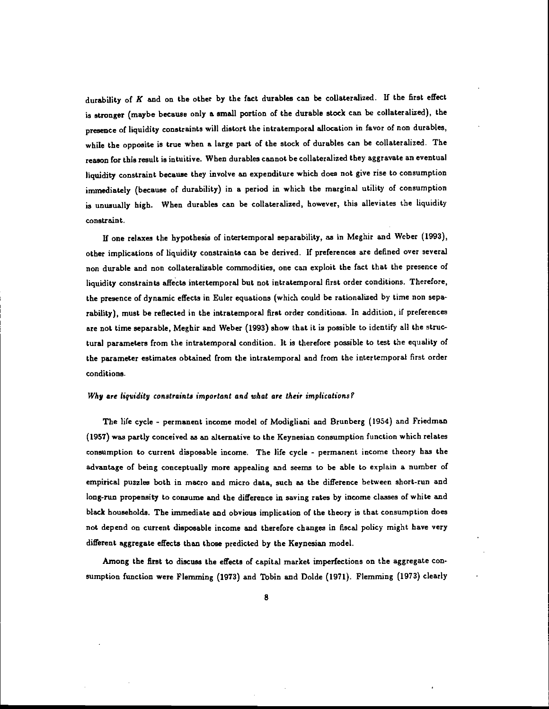durability of K and on the other by the fact durables can be collateralized, If the first effect is stronger (maybe because only a small portion of the durable stock can be collateralized), the presence of liquidity constraints will distort the intratemporal allocation in favor of non durables, while the opposite is true when a large part of the stock of durables can be collateralized. The reason for this result is intuitive. When durables cannot be collateralized they aggravate an eventual liquidity constraint because they involve an expenditure which does not give rise to consumption immediately (because of durability) in a period in which the marginal utility of consumption is unusually high. When durables can be collateralized, however, this alleviates the liquidity constraint.

If one relaxes the hypothesis of intertemporal separability, as in Meghir and Weber (1993), other implications of liquidity constraints can be derived. If preferences are defined over several non durable and non collateralizable commodities, one can exploit the fact that the presence of liquidity constraints affects intertemporal but not intratemporal first order conditions. Therefore, the presence of dynamic effects in Euler equations (which could be rationalized by time non separability), must be reflected in the intratemporal first order conditions. In addition, if preferences are not time separable, Meghir and Weber (1993) show that it is possible to identify all the structural parameters from the intratemporal condition. It is therefore possible to test the equality of the parameter estimates obtained from the intratemporal and from the interternporal first order conditions.

### Why are liquidity constraints important and what are their implications?

The life cycle - permanent income model of Modigliani and Brunberg (1954) and Friedman (1957) was partly conceived as an alternative to the Keynesian consumption function which relates consumption to current disposable income. The life cycle - permanent income theory has the advantage of being conceptually more appealing and seems to be able to explain a number of empirical puzzles both in macro and micro data, such as the difference between short-run and long-run propensity to consume and the difference in saving rates by income classes of white and black households. The immediate and obvious implication of the theory is that consumption does not depend on current disposable income and therefore changes in fiscal policy might have very different aggregate effects than those predicted by the Keynesian model.

Among the first to discuss the effects of capital market imperfections on the aggregate consumption function were Flemming (1973) and Thbin and Dolde (1971). Flemming (1973) clearly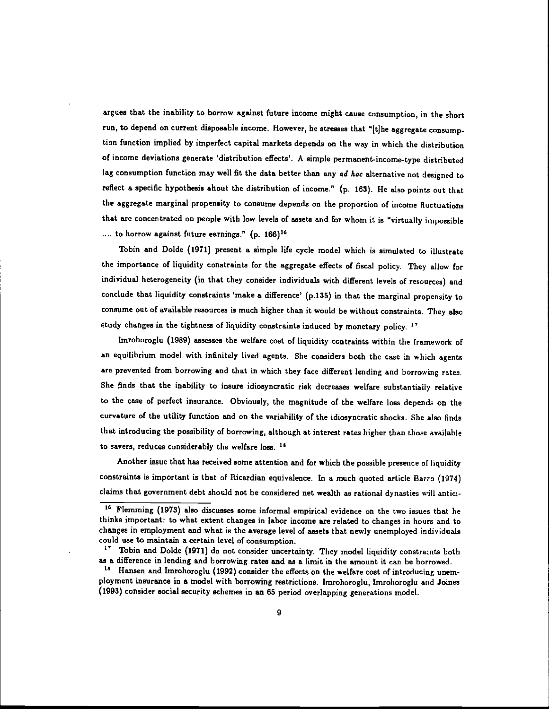argues that the inability to borrow against future income might cause consumption, in the short run, to depend on current disposable income. However, he stresses that "[t]he aggregate consumption function implied by imperfect capital markets depends on the way in which the distribution of income deviations generate 'distribution effects'. A simple permanent-income-type distributed lag consumption function may well fit the data better than any ad hoc alternative not designed to reflect a specific hypothesis about the distribution of income." (p. 163). He also points out that the aggregate marginal propensity to consume depends on the proportion of income fluctuations that are concentrated on people with low levels of assets and for whom it is "virtually impossible .... to horrow against future earnings." (p. 166)<sup>16</sup>

Tobin and Dolde (1971) present a simple life cycle model which is simulated to illustrate the importance of liquidity constraints for the aggregate effects of fiscal policy. They allow for individual heterogeneity (in that they consider individuals with different levels of resources) and conclude that liquidity constraints 'make a difference' (p.135) in that the marginal propensity to consume out of available resources is much higher than it would be without constraints. They also study changes in the tightness of liquidity constraints induced by monetary policy.<sup>17</sup>

Imrohoroglu (1989) assesses the welfare cost of liquidity contraints within the framework of an equilibrium model with infinitely lived agents. She considers both the case in which agents are prevented from borrowing and that in which they face different lending and borrowing rates. She finds that the inability to insure idiosyncratic risk decreases welfare substantially relative to the case of perfect insurance. Obviously, the magnitude of the welfare loss depends on the curvature of the utility function and on the variability of the idiosyncratic shocks. She also finds that introducing the possibility of borrowing, although at interest rates higher than those available to savers, reduces considerably the welfare loss. 15

Another issue that has received some attention and for which the possible presence of liquidity constraints is important is that of Ricardian equivalence. In a much quoted article Barro (1974) claims that government debt should not be considered net wealth as rational dynasties will antici-

Flemming (1973) also discusses some informal empirical evidence on the two issues that he thinks important: to what extent changes in labor income are related to changes in hours and to changes in employment and what is the average level of assets that newly unemployed individuals could use to maintain a certain level of consumption.

<sup>&</sup>lt;sup>17</sup> Tobin and Dolde (1971) do not consider uncertainty. They model liquidity constraints both as a difference in lending and borrowing rates and as a limit in the amount it can be borrowed.

<sup>&</sup>lt;sup>18</sup> Hansen and Imrohoroglu (1992) consider the effects on the welfare cost of introducing unemployment insurance in a model with borrowing restrictions. Imrohoroglu, tmrohoroglu and Joines (1993) consider social security schemes in an 65 period overlapping generations model.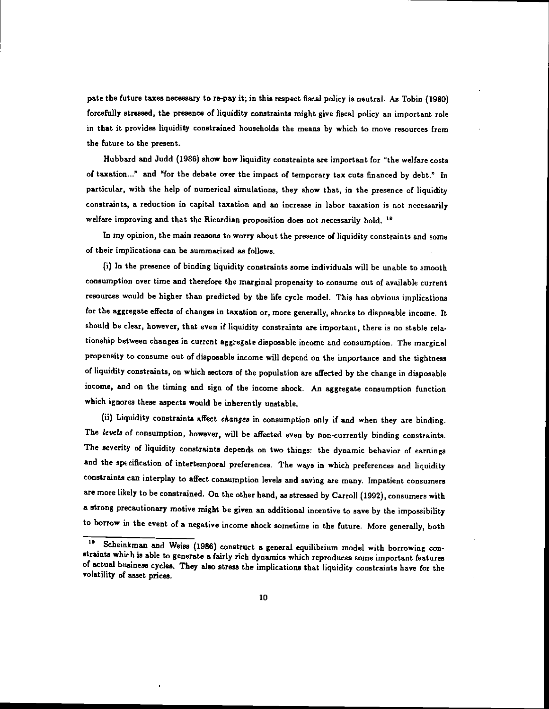pate the future taxes necessary to re-pay it; in this respect fiscal policy is neutral. As Tobin (1980) forcefully stressed, the presence of liquidity constraints might give fiscal policy an important role in that it provides liquidity constrained households the means by which to move resources from the future to the present.

Hubbard and Judd (1986) show how liquidity constraints are important for "the welfare costs of taxation..." and "for the debate over the impact of temporary tax cuts financed by debt." In particular, with the help of numerical simulations, they show that, in the presence of liquidity constraints, a reduction in capital taxation and an increase in labor taxation is not necessarily welfare improving and that the Ricardian proposition does not necessarily hold. <sup>19</sup>

In my opinion, the main reasons to worry about the presence of liquidity constraints and some of their implications can be summarized as follows.

(i) In the presence of binding liquidity constraints some individuals will be unable to smooth consumption over time and therefore the marginal propensity to consume out of available current resources would be higher than predicted by the life cycle model. This has obvious implications for the aggregate effects of changes in taxation or, more generally, shocks to disposable income. It should be clear, however, that even if liquidity constraints are important, there is no stable relationship between changes in current aggregate disposable income and consumption. The marginal propensity to consume out of disposable income will depend on the importance and the tightness of liquidity constraints, on which sectors of the population are affected by the change in disposable income, and on the timing and sign of the income shock. An aggregate consumption function which ignores these aspects would be inherently unstable.

(ii) Liquidity constraints affect changes in consumption only if and when they are binding. The levels of consumption, however, will be affected even by non-currently binding constraints. The severity of liquidity constraints depends on two things: the dynamic behavior of earnings and the specification of intertemporal preferences. The ways in which preferences and liquidity constraints can interplay to affect consumption levels and saving aremany. Impatient consumers are more likely to be constrained. On the other hand, as stressed by Carroll (1992), consumers with a strong precautionary motive might be given an additional incentive to save by the impossibility to borrow in the event of a negative income shock sometime in the future. More generally, both

Scheinkman and Weiss (1986) construct a general equilibrium model with borrowing constraints which is able to generate a fairly rich dynamics which reproduces some important features of actual business cycles. They also stress the implications that liquidity constraints have for the volatility of asset prices.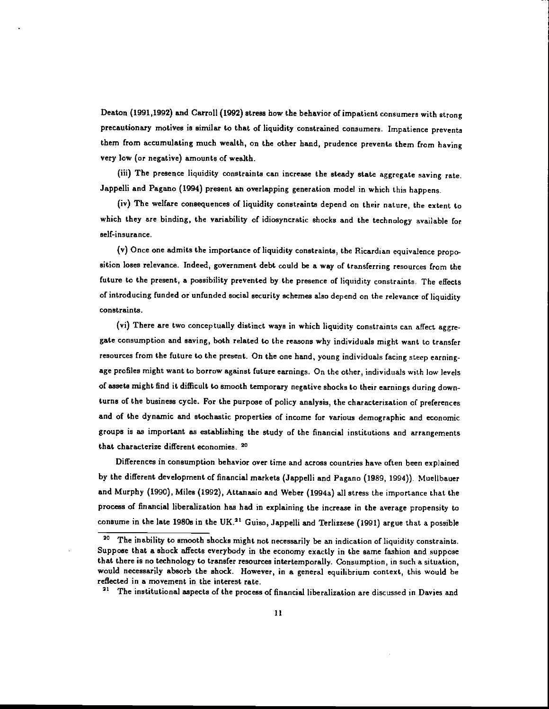Deaton (1991,1992) and Carroll (1992) stress how the behavior of impatient consumers with strong precautionary motives is similar to that of liquidity constrained consumers. Impatience prevents them from accumulating much wealth, on the other hand, prudence prevents them from having very low (or negative) amounts of wealth.

(iii) The presence liquidity constraints can increase the steady state aggregate saving rate. Jappelli and Pagano (1994) present an overlapping generation model in which this happens.

(iv) The welfare consequences of liquidity constraints depend on their nature, the extent to which they are binding, the variability of idiosyncratic shocks and the technology available for self-insurance.

(v) Once one admits the importance of liquidity constraints, the Ricardian equivalence proposition loses relevance. Indeed, government debt could be a way of transferring resources from the future to the present, a possibility prevented by the presence of liquidity constraints. The effects of introducing funded or unfunded social security schemes also depend on the relevance of liquidity constraints.

(vi) There are two conceptually distinct ways in which liquidity constraints can affect aggregate consumption and saving, both related to the reasons why individuals might want to transfer resources from the future to the present. On the one hand, young individuals facing steep earningage profiles might want to borrow against future earnings. On the other, individuals with low levels of assets might find it difficult to smooth temporary negative shocks to their earnings during downturns of the business cycle. For the purpose of policy analysis, the characterization of preferences and of the dynamic and stochastic properties of income for various demographic and economic groups is as important as establishing the study of the financial institutions and arrangements that characterize different economies. 20

Differences in consumption behavior over time and across countries have often been explained by the different development of financial markets (Jappelli and Pagano (1989, 1994)). Muetlbauer and Murphy (1990), Miles (1992), Attanasio and Weber (1994a) all stress the importance that the process of financial liberalization has had in explaining the increase in the average propensity to consume in the late 1980s in the UK.2' Guiso, Jappelli and Terlizzese (1991) argue that a possible

<sup>&</sup>lt;sup>20</sup> The inability to smooth shocks might not necessarily be an indication of liquidity constraints. Suppose that a shock affects everybody in the economy exactly in the same fashion and suppose that there is no technology to transfer resources interternporally. Consumption, in such a situation, would necessarily absorb the shock. However, in a general equilibrium context, this would be reflected in a movement in the interest rate.

<sup>&</sup>lt;sup>21</sup> The institutional aspects of the process of financial liberalization are discussed in Davies and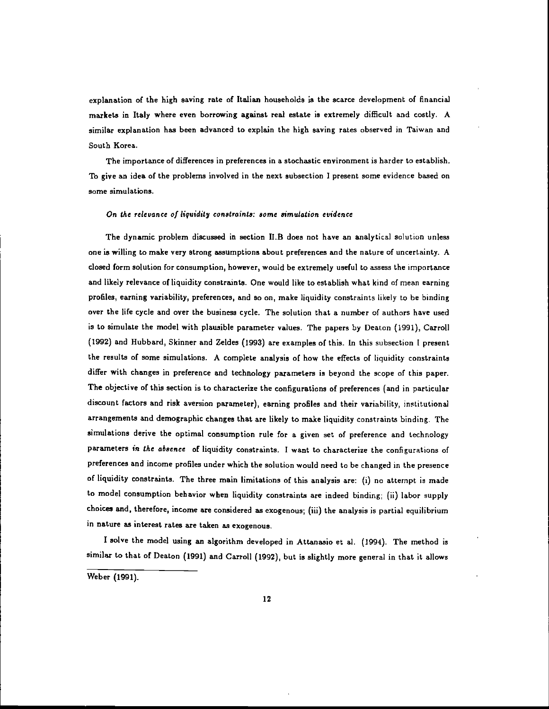explanation of the high saving rate of Italian households is the scarce development of financial markets in Italy where even borrowing against real estate is extremely difficult and costly. A similar explanation has been advanced to explain the high saving rates observed in Taiwan and South Korea.

The importance of differences in preferences in a stochastic environment is harder to establish. To give an idea of the problems involved in the next subsection I present some evidence based on some simulations.

# On the relevance of liquidity constraints: some simulation evidence

The dynamic problem discussed in section 1l.B does not have an analytical solution unless one is willing to make very strong assumptions about preferences and the nature of uncertainty. A closed form solution for consumption, however, would be extremely useful to assess the importance and likely relevance of liquidity constraints. One would like to establish what kind of mean earning profiles, earning variability, preferences, and so on, make liquidity constraints likely to be binding over the life cycle and over the business cycle. The solution that a number of authors have used is to simulate the model with plausible parameter values. The papers by Deaton (1991), Carroll (1992) and Hubbard, Skinner and Zeldes (1993) are examples of this. In this subsection I present the results of some simulations. A complete analysis of how the effects of liquidity constraints differ with changes in preference and technology parameters is beyond the scope of this paper. The objective of this section is to characterize the configurations of preferences (and in particular discount factors and risk aversion parameter), earning profiles and their variability, institutional arrangements and demographic changes that are likely to make liquidity constraints binding. The simulations derive the optimal consumption rule for a given set of preference and technology parameters in the absence of liquidity constraints. I want to characterize the configurations of preferences and income profiles under which the solution would need to be changed in the presence of liquidity constraints. The three main limitations of this analysis are: (i) no attempt is made to model consumption behavior when liquidity constraints are indeed binding; (ii) labor supply choices and, therefore, income are considered as exogenous; (iii) the analysis is partial equilibrium in nature as interest rates are taken as exogenous.

I solve the model using an algorithm developed in Attanasio et al. (1994). The method is similar to that of Deaton (1991) and Carroll (1992), but is slightly more general in that it allows

Weber (1991).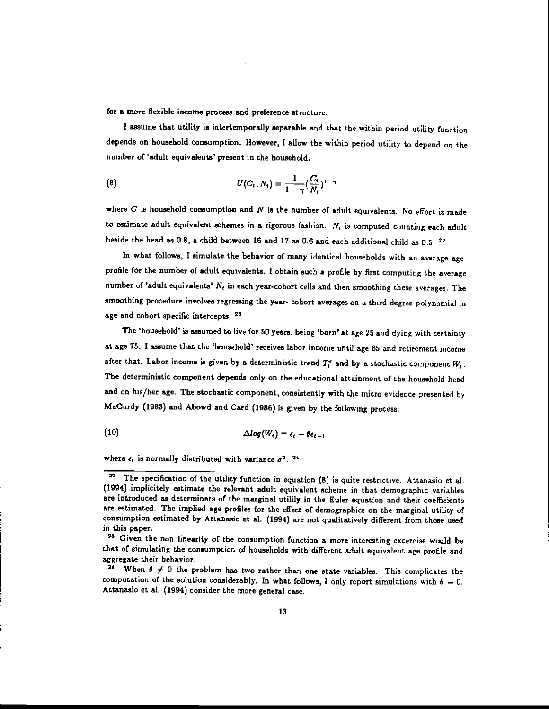for a more flexible income process and preference structure.

I assume that utility is intertemporally separable and that the within period utility function depends on household consumption. However, I allow the within period utility to depend on the number of 'adult equivalents' present in the household.

(8) 
$$
U(C_{t}, N_{t}) = \frac{1}{1 - \gamma} (\frac{C_{t}}{N_{t}})^{1 - \gamma}
$$

where C is household consumption and N is the number of adult equivalents. No effort is made to estimate adult equivalent schemes in a rigorous fashion.  $N_t$  is computed counting each adult beside the head as 0.8, a child between 16 and 17 as 0.6 and each additional child as 0.5. 22

In what follows, I simulate the behavior of many identical households with an average ageprofile for the number of adult equivalents. I obtain such a profile by first computing the average number of 'adult equivalents'  $N_t$  in each year-cohort cells and then smoothing these averages. The smoothing procedure involves regressing the year- cohort averages on a third degree polynomial in age and cohort specific intercepts.<sup>23</sup>

The 'household' is assumed to live for 50 years, being 'born' at age 25 and dying with certainty at age 75. 1 assume that the 'household' receives labor income until age 65 and retirement income after that. Labor income is given by a deterministic trend  $T_t^e$  and by a stochastic component  $W_t$ . The deterministic component depends only on the educational attainment of the household head and on his/her age. The stochastic component, consistently with the micro evidence presented by MaCurdy (1983) and Abowd and Card (1986) is given by the following process:

$$
\Delta log(W_{t}) = \epsilon_{t} + \theta \epsilon_{t-1}
$$

where  $\epsilon_t$  is normally distributed with variance  $\sigma^2$ . <sup>24</sup>

<sup>22</sup> The specification of the utility function in equation (8) is quite restrictive. Attanasio et al. (1994) implicitely estimate the relevant adult equivalent scheme in that demographic variables are introduced as determinats of the marginal utilily in the Euler equation and their coefficients are estimated. The implied age profiles for the effect of demographics on the marginal utility of consumption estimated by Attanasio et al. (1994) are not qualitatively different from those used in this paper.

<sup>&</sup>lt;sup>23</sup> Given the non linearity of the consumption function a more interesting excercise would be that of simulating the consumption of households with different adult equivalent age profile and aggregate their behavior.

When  $\theta \neq 0$  the problem has two rather than one state variables. This complicates the computation of the solution considerably. In what follows, I only report simulations with  $\theta = 0$ . Attanasio et al. (1994) consider the more general case.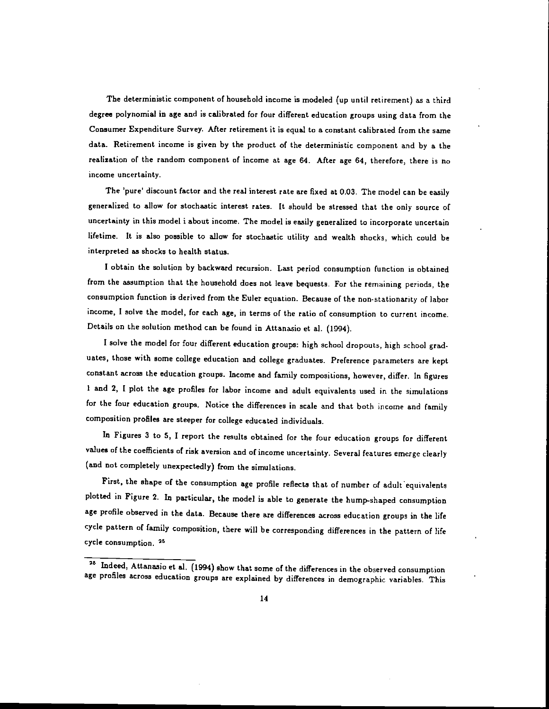The deterministic component of household income is modeled (up until retirement) as a third degree polynomial in age and is calibrated for four different education groups using data from the Consumer Expenditure Survey. After retirement it is equal to a constant calibrated from the same data. Retirement income is given by the product of the deterministic component and by a the realization of the random component of income at age 64. After age 64, therefore, there is no income uncertainty.

The 'pure' discount factor and the real interest rate are fixed at 0.03. The model can be easily generalized to allow for stochastic interest rates. It should be stressed that the only source of uncertainty in this model i about income. The model is easily generalized to incorporate uncertain lifetime. It is also possible to allow for stochastic utility and wealth shocks, which could be interpreted as shocks to health status.

I obtain the solution by backward recursion. Last period consumption function is obtained from the assumption that the household does not leave bequests. For the remaining periods, the consumption function is derived from the Euler equation. Because of the non-stationarity of labor income, I sotve the model, for each age, in terms of the ratio of consumption to current income Details on the solution method can be found in Attanasio et al. (1994).

I solve the model for four different education groups: high school dropouts, high school graduates, those with some college education and college graduates. Preference parameters are kept constant across the education groups. Income and family compositions, however, differ. In bgures I and 2, 1 plot the age profiles for labor income and adult equivalents used in the simulations for the four education groups. Notice the differences in scale and that both income and family composition profiles are steeper for college educated individuals.

In Figures 3 to 5, I report the results obtained for the four education groups for different values of the coefficients of risk aversion and of income uncertainty. Several features emerge clearly (and not completely unexpectedly) from the simulations.

First, the shape of the consumption age profile reflects that of number of adult equivalents plotted in Figure 2. In particular, the model is able to generate the hump-shaped consumption age profile observed in the data. Because there are differences across education groups in the life cycle pattern of family composition, there will be corresponding differences in the pattern of life cycle consumption.<sup>26</sup>

Indeed, Attanasio et al. (1994) show that some of the differences in the observed consumption age profiles across education groups are explained by differences in demographic variables. This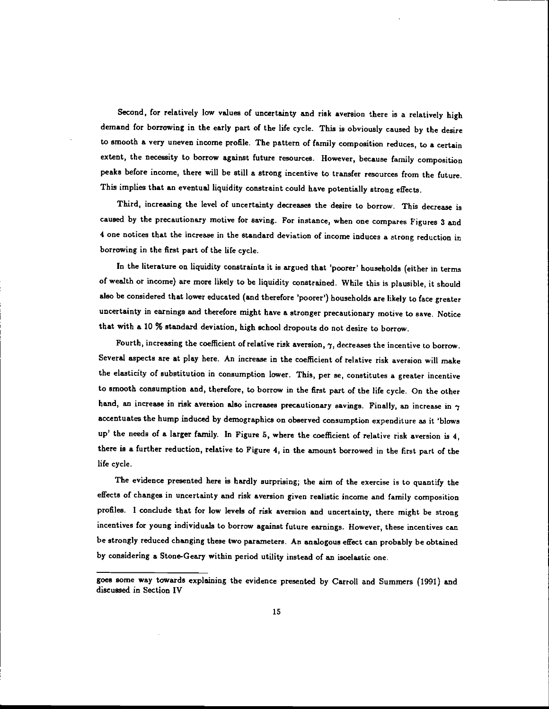Second, for relatively low values of uncertainty and risk aversion there is a relatively high demand for borrowing in the early part of the life cycle. This is obviously caused by the desire to smooth a very uneven income profile. The pattern of family composition reduces, to a certain extent, the necessity to borrow against future resources. However, because family composition peaks before income, there will be still a strong incentive to transfer resources from the future. This implies that an eventual liquidity constraint could have potentially strong effects.

Third, increasing the level of uncertainty decreases the desire to borrow. This decrease is caused by the precautionary motive for saving. For instance, when one compares Figures 3 and 4 one notices that the increase in the standard deviation of income induces a strong reduction in borrowing in the first part of the life cycle.

In the literature on liquidity constraints it is argued that 'poorer' households (either in terms of wealth or income) are more likely to be liquidity constrained. While this is plausible, it should also be considered that lower educated (and therefore 'poorer') households are likely to face greater uncertainty in earnings and therefore might have a stronger precautionary motive to save. Notice that with a 10 % standard deviation, high school dropouts do not desire to borrow.

Fourth, increasing the coefficient of relative risk aversion,  $\gamma$ , decreases the incentive to borrow. Several aspects are at play here. An increase in the coefficient of relative risk aversion will make the elasticity of substitution in consumption lower. This, per se, constitutes a greater incentive to smooth consumption and, therefore, to borrow in the first part of the life cycle. On the other hand, an increase in risk aversion also increases precautionary savings. Finally, an increase in  $\gamma$ accentuates the hump induced by demographics on observed consumption expenditure as it 'blows up' the needs of a larger family. In Figure 5, where the coefficient of relative risk aversion is 4, there is a further reduction, relative to Figure 4, in the amount borrowed in the first part of the life cycle.

The evidence presented here is hardly surprising; the aim of the exercise is to quantify the effects of changes in uncertainty and risk aversion given realistic income and family composition profiles. I conclude that for low levels of risk aversion and uncertainty, there might be strong incentives for young individuals to borrow against future earnings. However, these incentives can be strongly reduced changing these two parameters. An analogous effect can probably be obtained by considering a StoneGeary within period utility instead of an isoelastic one.

goes some way towards explaining the evidence presented by Carroll and Summers (1991) and discussed in Section IV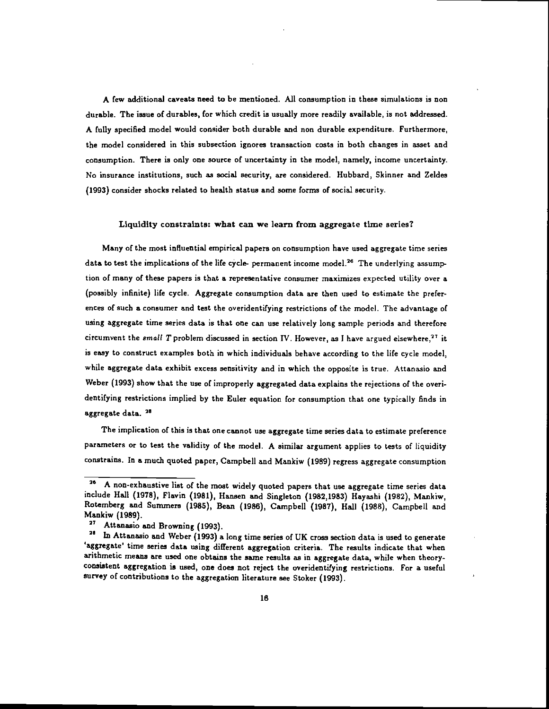A few additional caveats need to be mentioned. MI consumption in these simulations is non durable. The issue of durables, for which credit is usually more readily available, is not addressed. A fully specified model would consider both durable and non durable expenditure. Furthermore the model considered in this subsection ignores transaction costs in both changes in asset and consumption. There is only one source of uncertainty in the model, namely, income uncertainty. No insurance institutions, such as social security, are considered. Hubbard, Skinner and Zeldes (1993) consider shocks related to health status and some forms of social security

#### Liquidity constraints: what can we learn from aggregate time series?

Many of the most influential empirical papers on consumption have used aggregate time series data to test the implications of the life cycle- permanent income model.<sup>26</sup> The underlying assumption of many of these papers is that a representative consumer maximizes expected utility over a (possibly infinite) life cycle. Aggregate consumption data are then used to estimate the preferences of such a consumer and test the overidentifying restrictions of the model. The advantage of using aggregate time series data is that one can use relatively long sample periods and therefore circumvent the small T problem discussed in section IV. However, as I have argued elsewhere,<sup>27</sup> it is easy to construct examples both in which individuals behave according to the life cycle model, while aggregate data exhibit excess sensitivity and in which the opposite is true. Attanasio and Weber (1993) show that the use of improperly aggregated data explains the rejections of the overidentifying restrictions implied by the Euler equation for consumption that one typically finds in aggregate data. 25

The implication of this is that one cannot use aggregate time series data to estimate preference parameters or to test the validity of the model. A similar argument applies to tests of liquidity constrains. In a much quoted paper, Campbell and Mankiw (1989) regress aggregate consumption

A non-exhaustive list of the most widely quoted papers that use aggregate time series data include Hall (1978), Flavin (1981), Hansen and Singleton (1982,1983) Hayashi (1982), Mankiw, Rotemberg and Summers (1985), Bean (1986), Campbell (1987), Hall (1988), Campbell and Mankiw (1989).

<sup>&</sup>lt;sup>27</sup> Attanasio and Browning (1993).

<sup>&</sup>lt;sup>28</sup> In Attanasio and Weber (1993) a long time series of UK cross section data is used to generate 'aggregate' time series data using different aggregation criteria. The results indicate that when arithmetic means are used one obtains the same results as in aggregate data, while when theoryconsistent aggregation is used, one does not reject the overidentifying restrictions. For a useful survey of contributions to the aggregation literature see Stoker (1993).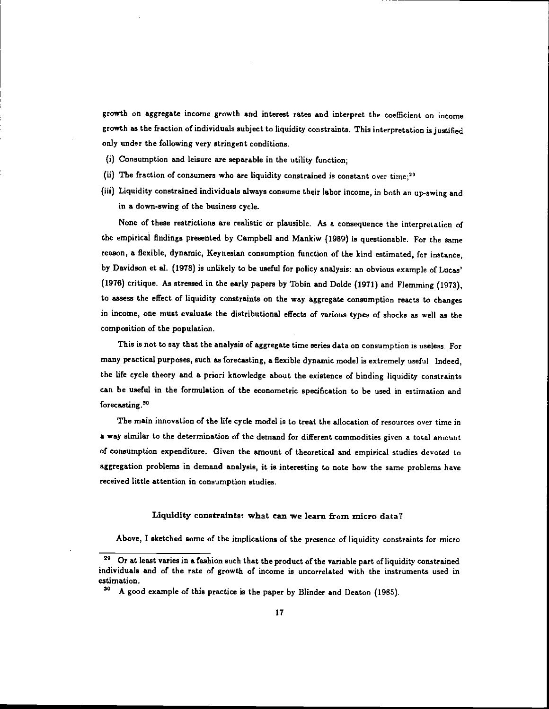growth on aggregate income growth and interest rates and interpret the coefficient on income growth as the fraction of individuals subject to liquidity constraints. This interpretation is justified oniy under the following very stringent conditions.

(i) Consumption and leisure are separable in the utility function;

- (ii) The fraction of consumers who are liquidity constrained is constant over time;29
- (iii) Liquidity constrained individuals always consume their labor income, in both an up-swing and in a down-swing of the business cycle.

None of these restrictions are realistic or plausible. As a consequence the interpretation of the empirical findings presented by Campbell and Mankiw (1989) is questionable. For the same reason, a flexible, dynamic, Keynesian consumption function of the kind estimated, for instance, by Davidson et al. (1978) is unlikely to be useful for policy analysis: an obvious example of Lucas' (1976) critique. As stressed in the early papers by Tobin and Dolde (1971) and Flemming (1973), to assess the effect of liquidity constraints on the way aggregate consumption reacts to changes in income, one must evaluate the distributional effects of various types of shocks as well as the composition of the population.

This is not to say that the analysis of aggregate time series data on consumption is useless. For many practical purposes, such as forecasting, a flexible dynamic model is extremely useful. Indeed, the life cycle theory and a priori knowledge about the existence of binding liquidity constraints can be useful in the formulation of the econometric specification to be used in estimation and forecasting.<sup>30</sup>

The main innovation of the life cycle model is to treat the allocation of resources over time in a way similar to the determination of the demand for different commodities given a total amount of consumption expenditure. Given the amount of theoretical and empirical studies devoted to aggregation problems in demand analysis, it is interesting to note how the same problems have received little attention in consumption studies.

# Liquidity constraints: what can we learn from micro data?

Above, I sketched some of the implications of the presence of liquidity constraints for micro

Or at least varies in a fashion such that the product of the variable part of liquidity constrained individuals and of the rate of growth of income is uncorrelated with the instruments used in estimation.

<sup>&</sup>lt;sup>30</sup> A good example of this practice is the paper by Blinder and Deaton (1985).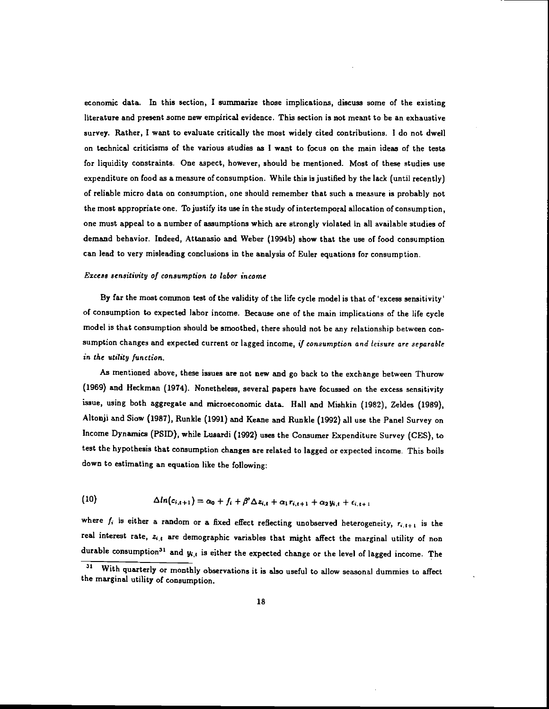economic data. In this section, I summarize those implications, discuss some of the existing literature and present some new empirical evidence. This section is not meant to be an exhaustive survey. Rather, I want to evaluate critically the most widely cited contributions. I do not dwell on technical criticisms of the various studies as I want to focus on the main ideas of the tests for liquidity constraints. One aspect, however, should be mentioned. Most of these studies use expenditure on food as a measure of consumption. While this is justified hy the lack (until recently) of reliable micro data on consumption, one should remember that such a measure is probably not the most appropriate one. Tojustify its use in the study of intertemporal allocation of consumption, one must appeal to a number of assumptions which are strongly violated in all available studies of demand behavior. Indeed, Attanasio and Weber (1994b) show that the use of food consumption can lead to very misleading conclusions in the analysis of Euler equations for consumption.

### Excess 8ens;tivlty of consumption to labor income

By far the most common test of the validity of the life cycle model is that of 'excess sensitivity' of consumption to expected labor income. Because one of the main implications of the life cycle model is that consumption should be smoothed, there should not be any relationship between consumption changes and expected current or lagged income, if consumption and leisure arc separable in the utility function.

As mentioned above, these issues are not new and go back to the exchange between Thurow (1969) and Beckman (1974). Nonetheless, several papers have focussed on the excess sensitivity issue, using both aggregate and microeconomic data. Hall and Mishkin (1982), Zeldes (1989), Altonji and Siow (1987), Runkle (1991) and Keane and Runkle (1992) all use the Panel Survey on Income Dynamics (PSID), while Lusardi (1992) uses the Consumer Expenditure Survey (CES), to test the hypothesis that consumption changes are related to lagged or expected income. This boils down to estimating an equation like the following:

(10) 
$$
\Delta ln(c_{i,t+1}) = \alpha_0 + f_i + \beta' \Delta z_{i,t} + \alpha_1 r_{i,t+1} + \alpha_2 y_{i,t} + \epsilon_{i,t+1}
$$

where  $f_i$  is either a random or a fixed effect reflecting unobserved heterogeneity,  $r_{i,t+1}$  is the real interest rate,  $z_{i,t}$  are demographic variables that might affect the marginal utility of non durable consumption<sup>31</sup> and  $y_{i,t}$  is either the expected change or the level of lagged income. The

<sup>&</sup>lt;sup>31</sup> With quarterly or monthly observations it is also useful to allow seasonal dummies to affect the marginal utility of consumption.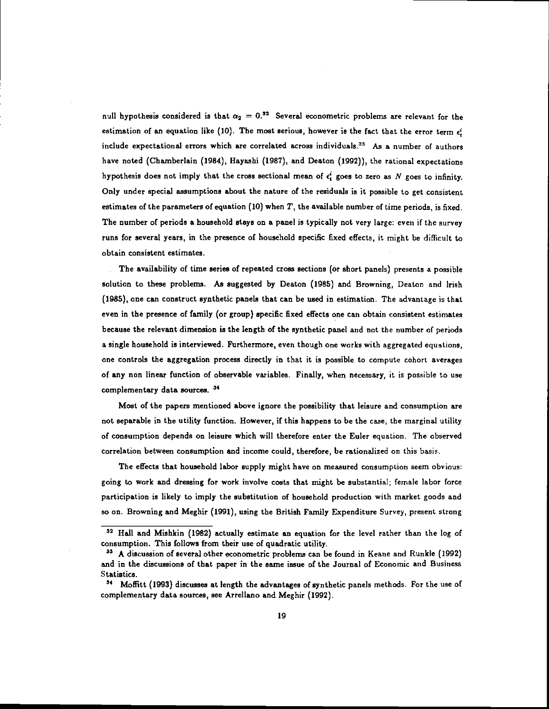null hypothesis considered is that  $\alpha_2 = 0.32$  Several econometric problems are relevant for the estimation of an equation like (10). The most serious, however is the fact that the error term  $\epsilon_i^i$ include expectational errors which are correlated across individuals.33 As a number of authors have noted (Chamberlain (1984), Hayashi (1987), and Deaton (1992)), the rational expectations hypothesis does not imply that the cross sectional mean of  $\epsilon_i$  goes to zero as N goes to infinity. Only under special assumptions about the nature of the residuals is it possible to get consistent estimates of the parameters of equation (10) when  $T$ , the available number of time periods, is fixed. The number of periods a household stays on a panel is typically not very large: even if the survey runs for several years, in the presence of household specific fixed effects, it might be difficult to obtain consistent estimates.

The availability of time series of repeated cross sections (or short panels) presents a possible solution to these problems. As suggested by Deaton (1985) and Browning, Deaton and Irish (1985), one can construct synthetic panels that can be used in estimation. The advantage is that even in the presence of family (or group) specific fixed effects one can obtain consistent estimates because the relevant dimension is the length of the synthetic panel and not the number of periods a single household is interviewed. Furthermore, even though one works with aggregated equations, one controls the aggregation process directly in that it is possible to compute cohort averages of any non linear function of observable variables. Finally, when necessary it is possible to use complementary data sources.

Most of the papers mentioned above ignore the possibility that leisure and consumption are not separable in the utility function. However, if this happens to be the case, the marginal utility of consumption depends on leisure which will therefore enter the Euler equation. The observed correlation between consumption and income could, therefore, be rationalized on this basis.

The effects that household labor supply might have on measured consumption seem obvious: going to work and dressing for work involve costs that might be substantial; female labor force participation is likely to imply the substitution of household production with market goods and so on. Browning and Meghir (1991), using the British Family Expenditure Survey, present strong

<sup>&</sup>lt;sup>32</sup> Hall and Mishkin (1982) actually estimate an equation for the level rather than the log of consumption. This follows from their use of quadratic utility.

<sup>33</sup> A discussion of several other econometric problems can be found in Keane and Runkle (1992) and in the discussions of that paper in the same issue of the Journal of Economic and Business Statistics.

<sup>34</sup> Moffitt (1993) discusses at length the advantages of synthetic panels methods. For the use of complementary data sources, see Arrellano and Meghir (1992).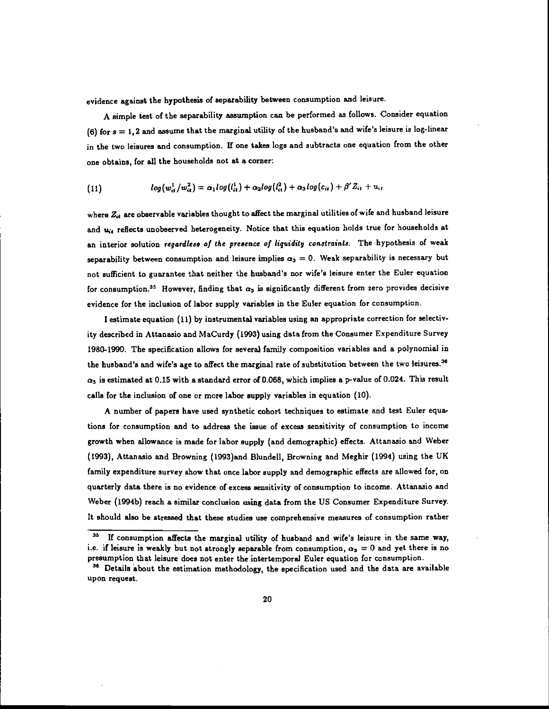evidence against the hypothesis of separability between consumption and leisure.

A simple test of the separability assumption can be performed as follows. Consider equation (6) for  $s = 1,2$  and assume that the marginal utility of the husband's and wife's leisure is log-linear in the two leisures and consumption, If one takes logs and subtracts one equation from the other one obtains, for all the households not at a corner:

(11) 
$$
log(w_{it}^1/w_{it}^2) = \alpha_1 log(l_{it}^1) + \alpha_2 log(l_{it}^2) + \alpha_3 log(c_{it}) + \beta' Z_{it} + u_{it}
$$

where  $Z_{it}$  are observable variables thought to affect the marginal utilities of wife and husband leisure and  $u_{it}$  reflects unobserved heterogeneity. Notice that this equation holds true for households at an interior solution regardless of the presence of liquidity constraints. The hypothesis of weak separability between consumption and leisure implies  $\alpha_3 = 0$ . Weak separability is necessary but not sufficient to guarantee that neither the husband's nor wife's leisure enter the Euler equation for consumption.<sup>35</sup> However, finding that  $\alpha_3$  is significantly different from zero provides decisive evidence for the inclusion of labor supply variables in the Euler equation for consumption.

I estimate equation (11) by instrumental variables using an appropriate correction for selectivity described in Attanasio and MaCurdy (1993) using data from the Consumer Expenditure Survey 1980-1990. The specification allows for several family composition variables and a polynomial in the husband's and wife's age to affect the marginal rate of substitution between the two leisures.<sup>36</sup>  $\alpha_3$  is estimated at 0.15 with a standard error of 0.068, which implies a p-value of 0.024. This result calls for the inclusion of one or more labor supply variables in equation (10).

A number of papers have used synthetic cohort techniques to estimate and test Euler equations for consumption and to address the issue of excess sensitivity of consumption to income growth when allowance is made for labor supply (and demographic) effects. Attanasio and Weber (1993), Attanasio and Browning (1993)and Blundell, Browning and Meghir (1994) using the UK family expenditure survey show that once labor supply and demographic effects are allowed for, on quarterly data there is no evidence of excess sensitivity of consumption to income. Attanasio and Weber (1994b) reach a similar conclusion using data from the US Consumer Expenditure Survey. It should also be stressed that these studies use comprehensive measures of consumption rather

 $3<sub>5</sub>$ If consumption affects the marginal utility of husband and wife's leisure in the same way, i.e. if leisure is weakly but not strongly separable from consumption,  $\alpha_3 = 0$  and yet there is no presumption that leisure does not enter the intertemporal Euler equation for consumption.

 $36$  Details about the estimation methodology, the specification used and the data are available upon request.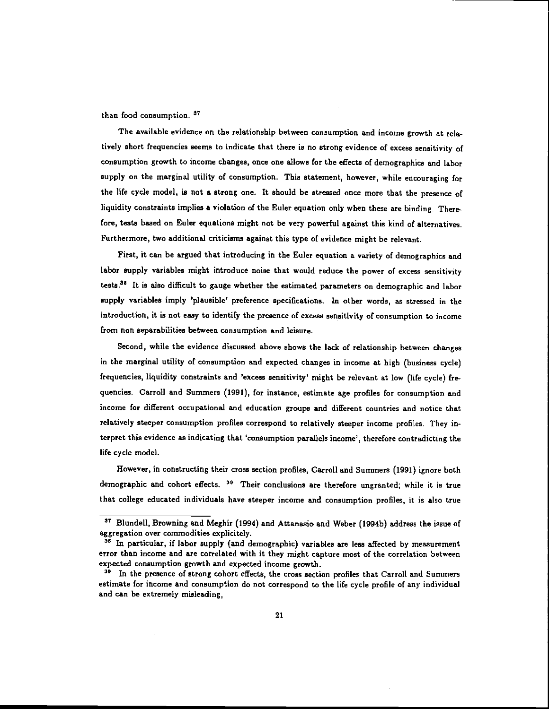than food consumption.<sup>37</sup>

The available evidence on the relationship between consumption and income growth at relatively short frequencies seems to indicate that there is no strong evidence of excess sensitivity of consumption growth to income changes, once one allows for the effects of demographics and labor supply on the marginal utility of consumption. This statement, however, while encouraging for the life cycle model, is not a strong one. It should be stressed once more that the presence of liquidity constraints implies a violation of the Euler equation only when these are binding. Therefore, tests based on Euler equations might not be very powerful against this kind of alternatives. Furthermore, two additional criticisms against this type of evidence might be relevant.

First, it can be argued that introducing in the Euler equation a variety of demographics and labor supply variables might introduce noise that would reduce the power of excess sensitivity tests.38 It is also difficult to gauge whether the estimated parameters on demographic and labor supply variables imply 'plausible' preference specifications. In other words, as stressed in the introduction, it is not easy to identify the presence of excess sensitivity of consumption to income from non separabilities between consumption and leisure.

Second, while the evidence discussed above shows the lack of relationship between changes in the marginal utility of consumption and expected changes in income at high (business cycle) frequencies, liquidity constraints and 'excess sensitivity' might be relevant at low (life cycle) frequencies. Carroll and Summers (1991), for instance, estimate age profiles for consumption and income for different occupational and education groups and different countries and notice that relatively steeper consumption profiles correspond to relatively steeper income profiles. They interpret this evidence as indicating that 'consumption parallels income', therefore contradicting the life cycle model.

However, in constructing their cross section profiles, Carroll and Summers (1991) ignore both demographic and cohort effects.  $39$  Their conclusions are therefore ungranted; while it is true that college educated individuals have steeper income and consumption profiles, it is also true

<sup>&</sup>lt;sup>37</sup> Blundell, Browning and Meghir (1994) and Attanasio and Weber (1994b) address the issue of aggregation over commodities explicitely.

<sup>&</sup>lt;sup>36</sup> In particular, if labor supply (and demographic) variables are less affected by measurement error than income and are correlated with it they might capture most of the correlation between<br>expected consumption growth and expected income growth. expected consumption growth and expected income growth.<br><sup>39</sup> In the presence of strong cohort effects, the cross section profiles that Carroll and Summers

estimate for income and consumption do not correspond to the life cycle profile of any individual and can be extremely misleading,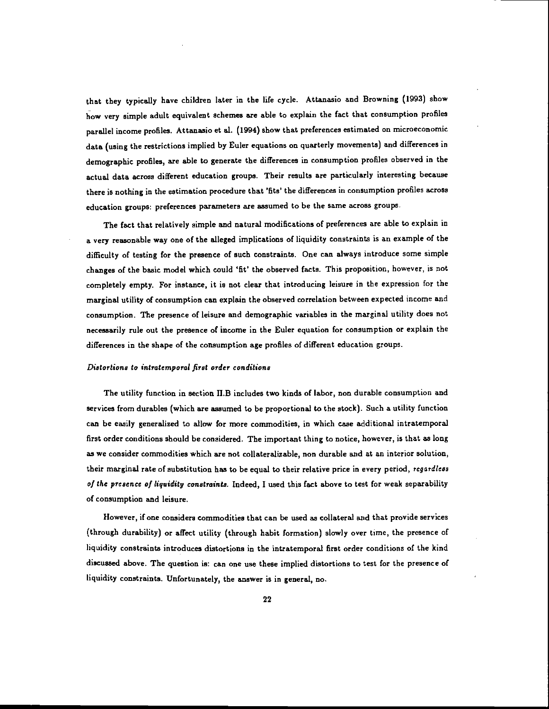that they typically have children later in the life cycle. Attanasio and Browning (1993) show how very simple adult equivalent schemes are able to explain the fact that consumption profiles parallel income profiles. Attanasio et al. (1994) show that preferences estimated on microeconomic data (using the restrictions implied by Euler equations on quarterly movements) and differences in demographic profiles, are able to generate the differences in consumption profiles observed in the actual data across different education groups. Their results are particularly interesting because there is nothing in the estimation procedure that 'fits' the differences in consumption profiles across education groups: preferences parameters are assumed to be the same across groups.

The fact that relatively simple and natural modifications of preferences are able to explain in a very reasonable way one of the alleged implications of liquidity constraints is an example of the difficulty of testing for the presence of such constraints. One can always introduce some simple changes of the basic model which could 'fit' the observed facts. This proposition, however, is not completely empty. For instance, it is not clear that introducing leisure in the expression for the marginal utility of consumption can explain the observed correlation between expected income and consumption. The presence of leisure and demographic variables in the marginal utility does not necessarily rule out the presence of income in the Euler equation for consumption or explain the differences in the shape of the consumption age profiles of different education groups.

#### Distortions to intratemporal first order conditions

The utility function in section I1.B includes two kinds of labor, non durable consumption and services from durables (which are assumed to be proportional to the stock). Such a utility function can be easily generalized to allow for more commodities, in which case additional intratemporal first order conditions should be considered. The important thing to notice, however, is that as long as we consider commodities which are not collateralizable, non durable and at an interior solution, their marginal rate of substitution has to be equal to their relative price in every period, regardless of the presence of liquidity constraints. Indeed, I used this fact above to test for weak separability of consumption and leisure.

However, if one considers commodities that can be used as collateral and that provide services (through durability) or affect utility (through habit formation) slowly over time, the presence of liquidity constraints introduces distortions in the intratemporal first order conditions of the kind discussed above. The question is: can one use these implied distortions to test for the presence of liquidity constraints. Unfortunately, the answer is in general, no.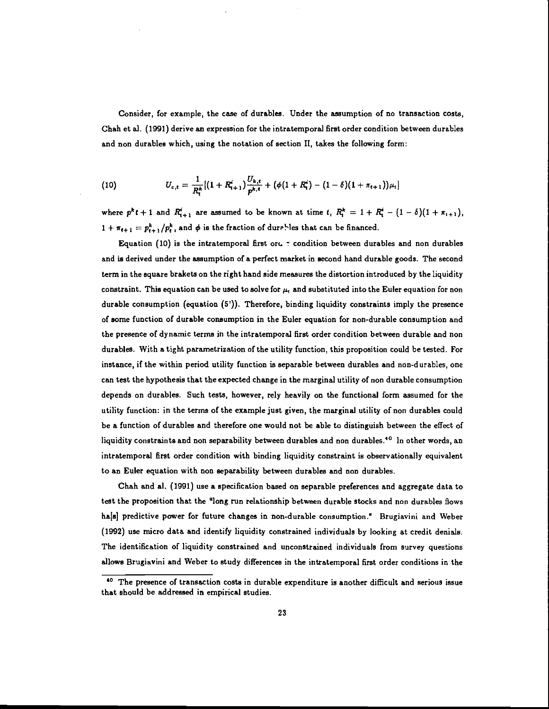Consider, for example, the case of durables. Under the assumption of no transaction costs, Chah et al. (1991) derive an expression for the intratemporal first order condition between durables and non durables which, using the notation of section II, takes the following form:

(10) 
$$
U_{\epsilon,t} = \frac{1}{R_{\epsilon}^{k}}[(1+R_{t+1}^{i})\frac{U_{k,t}}{p^{k,t}} + (\phi(1+R_{t}^{i}) - (1-\delta)(1+\pi_{t+1}))\mu_{t}]
$$

where  $p^k$ t + 1 and  $R_{i+1}^i$  are assumed to be known at time t,  $R_t^k = 1 + R_i^i - (1 - \delta)(1 + \pi_{i+1}),$  $1 + \pi_{t+1} = p_{t+1}^k / p_t^k$ , and  $\phi$  is the fraction of durebles that can be financed.

Equation (10) is the intratemporal first ord  $\tau$  condition between durables and non durables and is derived under the assumption of a perfect market in second hand durable goods- The second term in the square brakets on the right hand side measures the distortion introduced by the liquidity constraint. This equation can be used to solve for  $\mu_t$  and substituted into the Euler equation for non durable consumption (equation (5')). Therefore, binding liquidity constraints imply the presence of some function of durable consumption in the Euler equation for non-durable consumption and the presence of dynamic terms in the intratemporal first order condition between durable and non durables. With a tight parametrization of the utility function, this proposition could be tested. For instance, if the within period utility function is separable between durables and non-durables, one can test the hypothesis that the expected change in the marginal utility of non durable consumption depends on durables. Such tests, however, rely heavily on the functional form assumed for the utility function: in the terms of the example just given, the marginal utility of non durables could be a function of durables and therefore one would not be able to distinguish between the effect of liquidity constraints and non separability between durables and non durables.<sup>40</sup> In other words, an intratemporal first order condition with binding liquidity constraint is observationally equivalent to an Euler equation with non separability between durables and non durables.

Chah and al. (1991) use a specification based on separable preferences and aggregate data to test the proposition that the "long run relationship between durable stocks and non durables flows ha[s] predictive power for future changes in non-durable consumption." Brugiavini and Weber (1992) use micro data and identify liquidity constrained individuals by looking at credit denials. The identification of liquidity constrained and unconstrained individuals from survey questions allows Brugiavini and Weber to study differences in the intratemporal first order conditions in the

<sup>40</sup> The presence of transaction costs in durable expenditure is another difficult and serious issue that should be addressed in empirical studies.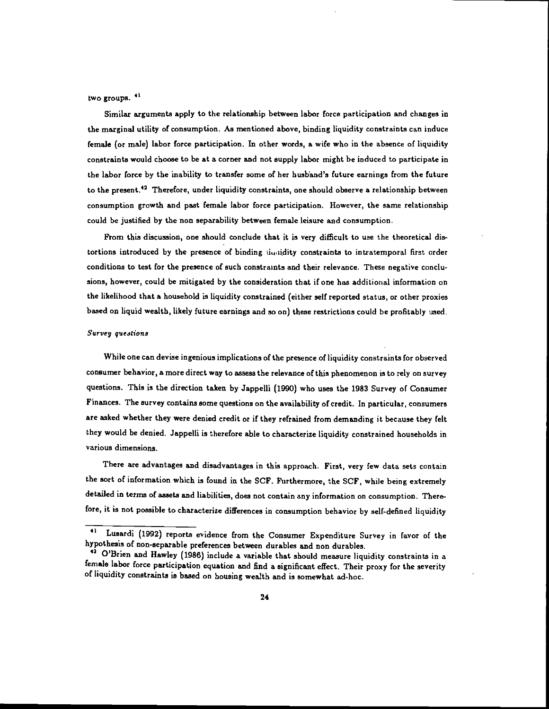two groups. <sup>41</sup>

Similar arguments apply to the relationship between labor force participation and changes in the marginal utility of consumption. As mentioned above, binding liquidity constraints can induce female (or male) labor force participation. In other words, a wife who in the absence of liquidity constraints would choose to be at a corner and not supply labor might be induced to participate in the labor force by the inability to transfer some of her husband's future earnings from the future to the present.<sup>42</sup> Therefore, under liquidity constraints, one should observe a relationship between consumption growth and past female labor force participation. However, the same relationship could be justified by the non separability between female leisure and consumption.

From this discussion, one should conclude that it is very difficult to use the theoretical distortions introduced by the presence of binding tiunidity constraints to intratemporal first order conditions to test for the presence of such constraints and their relevance. These negative conclusions, however, could be mitigated by the consideration that if one has additional information on the likelihood that a household is liquidity constrained (either self reported status, or other proxies based on liquid wealth, likely future earnings and so on) these restrictions could be profitably used.

#### Survey questions

While one can devise ingenious implications of the presence of liquidity constraints for observed consumer behavior, a more direct way to assess the relevance of this phenomenon is to rely on survey questions. This is the direction taken by Jappelli (1990) who uses the 1983 Survey of Consumer Finances. The survey contains some questions on the availability of credit. In particular, consumers are asked whether they were denied credit or if they refrained from demanding it because they felt they would be denied. Jappelli is therefore able to characterize liquidity constrained households in various dimensions.

There are advantages and disadvantages in this approach. First, very few data sets contain the sort of information which is found in the SCF. Furthermore, the SCF, while being extremely detailed in terms of assets and liabilities, does not contain any information on consumption. Therefore, it is not possible to characterize differences in consumption behavior by self-defined liquidity

<sup>41</sup> Lusardi (1992) reports evidence from the Consumer Expenditure Survey in favor of the hypothesis of non-separable preferences between durables and non durables.

<sup>12</sup> O'Brien and Hawley (1986) include a variable that should measure liquidity constraints in a female labor force participation equation and find a significant effect. Their proxy for the severity of liquidity constraints is based on housing wealth and is somewhat ad-hoc.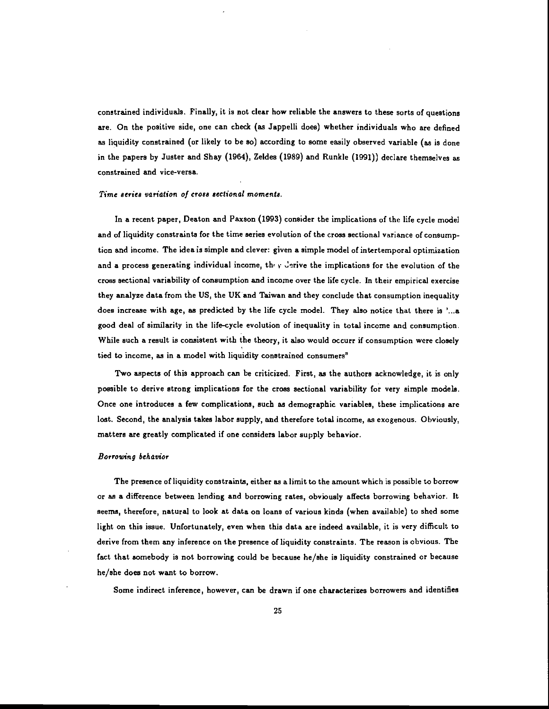constrained individuals. Finally, it is not clear how reliable the answers to these sorts of questions are. On the positive side, one can check (as Jappelli does) whether individuals who are defined as liquidity constrained (or likely to be so) according to some easily observed variable (as is done in the papers by Juster and Shay (1964), Zeldes (1989) and Runkle (1991)) declare themselves as constrained and vice-versa.

### Time series variation of cross sectional moments.

In a recent paper, Deaton and Paxson (1993) consider the implications of the life cycle model and of liquidity constraints for the time series evolution of the cross sectional variance of consumption and income. The idea is simple and clever: given a simple model of intertemporal optimization and a process generating individual income, they derive the implications for the evolution of the cross sectional variability of consumption and income over the life cycle. In their empirical exercise they analyze data from the US, the UK and Taiwan and they conclude that consumption inequality does increase with age, as predicted by the life cycle model. They also notice that there is '...a good deal of similarity in the life-cycle evolution of inequality in total income and consumption. While such a result is consistent with the theory, it also would occurr if consumption were closely tied to income, as in a model with liquidity constrained consumers"

Two aspects of this approach can be criticized. First, as the authors acknowledge, it is only possible to derive strong implications for the cross sectional variability for very simple models. Once one introduces a few complications, such as demographic variables, these implications are lost. Second, the analysis takes labor supply, and therefore total income, as exogenous. Obviously, matters are greatly complicated if one considers labor supply behavior.

#### Borrowing behavior

The presence of liquidity constraints, either as a limit to the amount which is possible to borrow or as a difference between lending and borrowing rates, obviously affects borrowing behavior. It seems, therefore, natural to look at data on loans of various kinds (when available) to shed some light on this issue. Unfortunately, even when this data are indeed available, it is very difficult to derive from them any inference on the presence of liquidity constraints. The reason is obvious. The fact that somebody is not borrowing could be because he/she is liquidity constrained or because he/she does not want to borrow.

Some indirect inference, however, can be drawn if one characterizes borrowers and identifies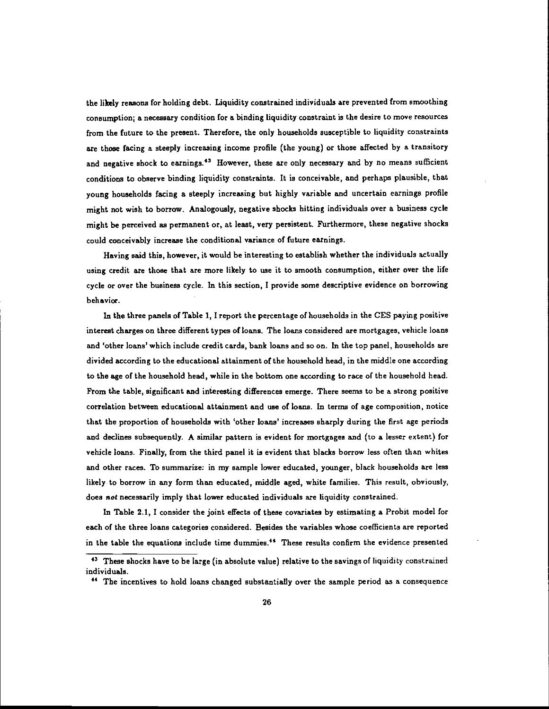the likely reasons for holding debt. Liquidity constrained individuals are prevented from smoothing consumption; a necessary condition for a binding liquidity constraint is the desire to move resources from the future to the present. Therefore, the only households susceptible to liquidity constraints are those facing a steeply increasing income profile (the young) or those affected by a transitory and negative shock to earnings.<sup>43</sup> However, these are only necessary and by no means sufficient conditions to observe binding liquidity constraints. It is conceivable, and perhaps plausible, that young households facing a steeply increasing but highly variable and uncertain earnings profile might not wish to borrow. Analogously, negative shocks hitting individuals over a business cycle might be perceived as permanent or, at least, very persistent. Furthermore, these negative shocks could conceivably increase the conditional variance of future earnings.

Having said this, however, it would be interesting to establish whether the individuals actually using credit are those that are more likely to use it to smooth consumption, either over the life cycle or over the business cycle. In this section, 1 provide some descriptive evidence on borrowing behavior.

In the three panels of Table 1, I report the percentage of households in the CES paying positive interest charges on three different types of loans. The loans considered are mortgages, vehicle loans and 'other loans' which include credit cards, bank loans and so on. In the top panel, households are divided according to the educational attainment of the household head, in the middle one according to the age of the household head, while in the bottom one according to race of the household head. From the table, significant and interesting differences emerge. There seems to be a strong positive correlation between educational attainment and use of loans. In terms of age composition, notice that the proportion of households with 'other loans' increases sharply during the first age periods and declines subsequently. A similar pattern is evident for mortgages and (to a lesser extent) for vehicle loans. Finally, from the third panel it is evident that blacks borrow less often than whites and other races. To summarize: in my sample lower educated, younger, black households are less likely, to borrow in any form than educated, middle aged, white families. This result, obviously, does not necessarily imply that lower educated individuals are liquidity constrained.

In Table 2.1, I consider the joint effects of these covariates by estimating a Probit model for each of the three loans categories considered. Besides the variables whose coefficients are reported in the table the equations include time dummies.44 These results confirm the evidence presented

<sup>&</sup>lt;sup>43</sup> These shocks have to be large (in absolute value) relative to the savings of liquidity constrained individuals.

The incentives to hold loans changed substantially over the sample period as a consequence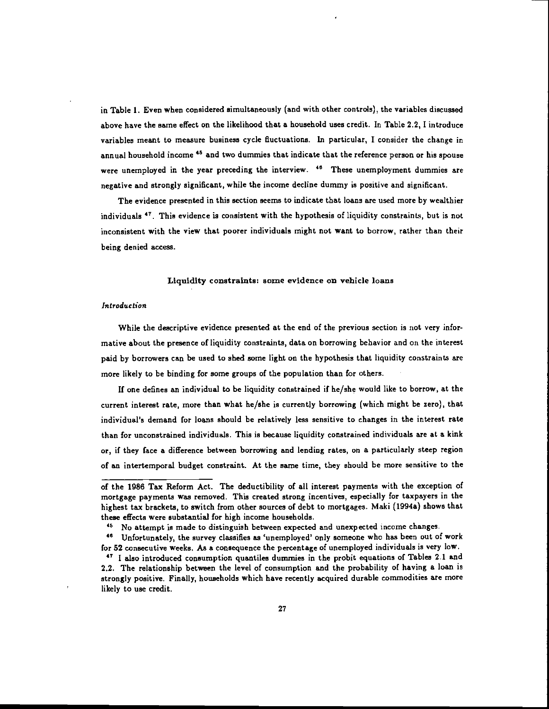in Table 1. Even when considered simultaneously (and with other controls), the variables discussed above have the same effect on the likelihood that a household uses credit. In Table 2.2, 1 introduce variables meant to measure business cycle fluctuations, In particular, I consider the change in annual household income <sup>45</sup> and two dummies that indicate that the reference person or his spouse were unemployed in the year preceding the interview. <sup>46</sup> These unemployment dummies are negative and strongly significant, while the income decline dummy is positive and significant.

The evidence presented in this section seems to indicate that loans are used more by wealthier individuals  $17$ . This evidence is consistent with the hypothesis of liquidity constraints, but is not inconsistent with the view that poorer individuals might not want to borrow, rather than their being denied access.

#### Liquidity constraints: some evidence on vehicle loans

#### Introduction

While the descriptive evidence presented at the end of the previous section is not very informative about the presence of liquidity constraints, data on borrowing behavior and on the interest paid by borrowers can be used to shed some light on the hypothesis that liquidity constraints are more likely to be binding for some groups of the population than for others.

if one defines an individual to be liquidity constrained if he/she would like to borrow, at the current interest rate, more than what he/she is currently borrowing (which might be zero), that individual's demand for loans should be relatively less sensitive to changes in the interest rate than for unconstrained individuals. This is because liquidity constrained individuals are at a kink or, if they face a difference between borrowing and lending rates, on a particularly steep region of an intertemporal budget constraint. At the same time, they should be more sensitive to the

of the 1986 Tax Reform Act. The deductibility of all interest payments with the exception of mortgage payments was removed. This created strong incentives, especially for taxpayers in the highest tax brackets, to switch from other sources of debt to mortgages. Maki (1994a) shows that these effects were substantial for high income households.

No attempt is made to distinguish between expected and unexpected income changes. " Unfortunately, the survey classifies as 'unemployed' only someone who has been out of work for 52 consecutive weeks. As a consequence the percentage of unemployed individuals is very low.<br><sup>47</sup> I also introduced consumption quantiles dummies in the probit equations of Tables 2.1 and

<sup>2.2.</sup> The relationship between the level of consumption and the probability of having a loan is strongly positive. Finally, households which have recently acquired durable commodities are more likely to use credit.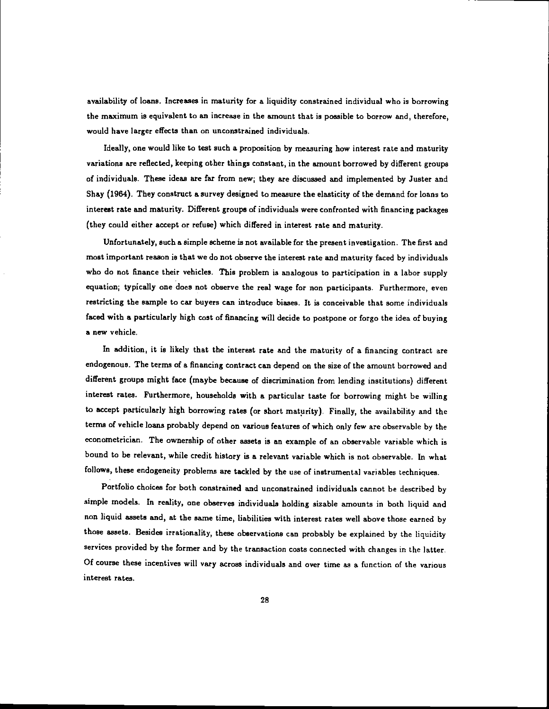availability of loans. Increases in maturity for a liquidity constrained individual who is borrowing the maximum is equivalent to an increase in the amount that is possible to borrow and, therefore, would have larger effects than on unconstrained individuals.

Ideally, one would like to test such a proposition by measuring how interest rate and maturity variations are reflected, keeping other things constant, in the amount borrowed by different groups of individuals. These ideas are far from new; they are discussed and implemented by Juster and Shay (1964). They construct a survey designed to measure the elasticity of the demand for loans to interest rate and maturity. Different groups of individuals were confronted with financing packages (they could either accept or refuse) which differed in interest rate and maturity.

Unfortunately, such a simple scheme is not available for the present investigation. The first and most important reason is that we do not observe the interest rate and maturity faced by individuals who do not finance their vehicles, This problem is analogous to participation in a labor supply equation; typically one does not observe the real wage for non participants. Furthermore, even restricting the sample to car buyers can introduce biases. It is conceivable that some individuals faced with a particularly high cost of financing will decide to postpone or forgo the idea of buying a new vehicle.

In addition, it is likely that the interest rate and the maturity of a financing contract are endogenous. The terms of a financing contract can depend on the size of the amount borrowed and different groups might face (maybe because of discrimination from lending institutions) different interest rates. Furthermore, households with a particular taste for borrowing might be willing to accept particularly high borrowing rates (or short maturity). Finally, the availability and the terms of vehicle loans probably depend on various features of which only few are observable by the econometrician. The ownership of other assets is an example of an observable variable which is bound to be relevant, while credit history is a relevant variable which is not observable. In what follows, these endogeneity problems are tackled by the use of instrumental variables techniques.

Portfolio choices for both constrained and unconstrained individuals cannot be described by simple models. In reality, one observes individuals holding sizable amounts in both liquid and non liquid assets and, at the same time, liabilities with interest rates well above those earned by those assets. Besides irrationality, these observations can probably be explained by the liquidity services provided by the former and by the transaction costs connected with changes in the latter. Of course these incentives will vary across individuals and over time as a function of the various interest rates.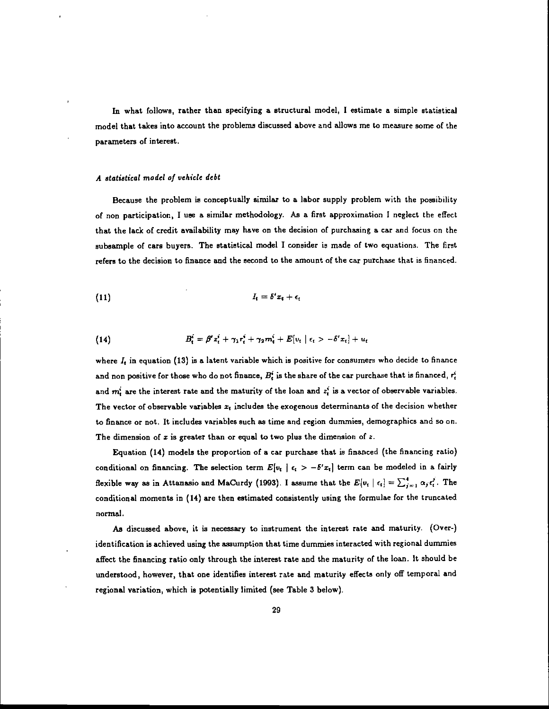In what follows, rather than specifying a structural model, I estimate a simple statistical model that takes into account the problems discussed above and allows me to measure some of the parameters of interest.

# A statistical model of vehicle deôt

Because the problem is conceptually similar to a labor supply problem with the possibility of non participation, I use a similar methodology. As a first approximation I neglect the effect that the lack of credit availability may have on the decision of purchasing a car and focus on the subsample of cars buyers. The statistical model I consider is made of two equations. The first refers to the decision to finance and the second to the amount of the car purchase that is financed.

$$
(11) \t\t\t I_t = \delta' x_t + \epsilon_t
$$

(14) 
$$
B_{\epsilon}^{i} = \beta' z_{i}^{i} + \gamma_{1} r_{i}^{i} + \gamma_{2} m_{\epsilon}^{i} + E[v_{\epsilon} | \epsilon_{\epsilon} > -\delta' x_{\epsilon}] + u_{\epsilon}
$$

where  $I_t$  in equation (13) is a latent variable which is positive for consumers who decide to finance and non positive for those who do not finance,  $B_i^i$  is the share of the car purchase that is financed,  $r_i^i$ and  $m_i$  are the interest rate and the maturity of the loan and  $z_i$  is a vector of observable variables. The vector of observable variables  $x_t$  includes the exogenous determinants of the decision whether to finance or not. It includes variables such as time and region dummies, demographics and so on. The dimension of  $x$  is greater than or equal to two plus the dimension of  $z$ .

Equation (14) models the proportion of a car purchase that is financed (the financing ratio) conditional on financing. The selection term  $E[v_i | \epsilon_i > -\delta' x_i]$  term can be modeled in a fairly flexible way as in Attanasio and MaCurdy (1993). I assume that the  $E[v_i | \epsilon_i] = \sum_{j=1}^{4} \alpha_j \epsilon_i^j$ . The conditional moments in (14) are then estimated consistently using the formulae for the truncated normal.

As discussed above, it is necessary to instrument the interest rate and maturity. (Over-) identification is achieved using the assumption that time dummies interacted with regional dummies affect the financing ratio only through the interest rate and the maturity of the loan. It should be understood, however, that one identifies interest rate and maturity effects only off temporal and regional variation, which is potentially limited (see Table 3 below).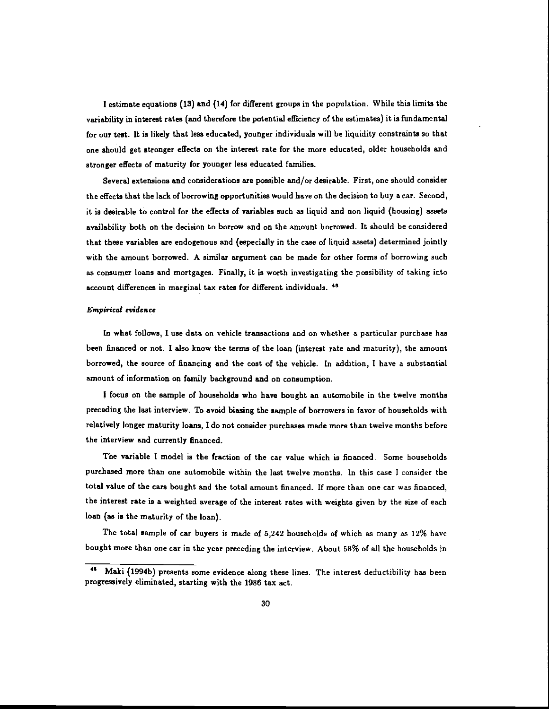I estimate equations (13) and (14) for different groups in the population. While this limits the variability in interest rates (and therefore the potential efficiency of the estimates) it is fundamental for our test. It is likely that less educated, younger individuals will be liquidity constraints so that one should get stronger effects on the interest rate for the more educated, older households and stronger effects of maturity for younger less educated families.

Several extensions and considerations are possible and/or desirable. First, one should consider the effects that the lack of borrowing opportunities would have on the decision to buy a car. Second, it is desirable to control for the effects of variables such as liquid and non liquid (housing) assets availability both on the decision to borrow and on the amount borrowed. It should be considered that these variables are endogenous and (especially in the case of liquid assets) determined jointly with the amount borrowed. A similar argument can be made for other forms of borrowing such as consumer loans and mortgages. Finally, it is worth investigating the possibility of taking into account differences in marginal tax rates for different individuals. <sup>48</sup>

### Empirical evidence

In what follows, I use data on vehicle transactions and on whether a particular purchase has been financed or not. I also know the terms of the loan (interest rate and maturity), the amount borrowed, the source of financing and the cost of the vehicle. In addition, I have a substantial amount of information on family background and on consumption.

focus on the sample of households who have bought an automobile in the twelve months preceding the last interview. To avoid biasing the sample of borrowers in favor of households with relatively longer maturity loans, I do not consider purchases made more than twelve months before the interview and currently financed.

The variable I model is the fraction of the car value which is financed. Some households purchased more than one automobile within the last twelve months, in this case I consider the total value of the cars bought and the total amount financed, if more than one car was financed, the interest rate is a weighted average of the interest rates with weights given by the size of each loan (as is the maturity of the loan).

The total sample of car buyers is made of 5,242 households of which as many as 12% have bought more than one car in the year preceding the interview. About 58% of all the households in

Maki (1994b) presents some evidence along these lines. The interest deductibility has been progressively eliminated, starting with the 1986 tax act.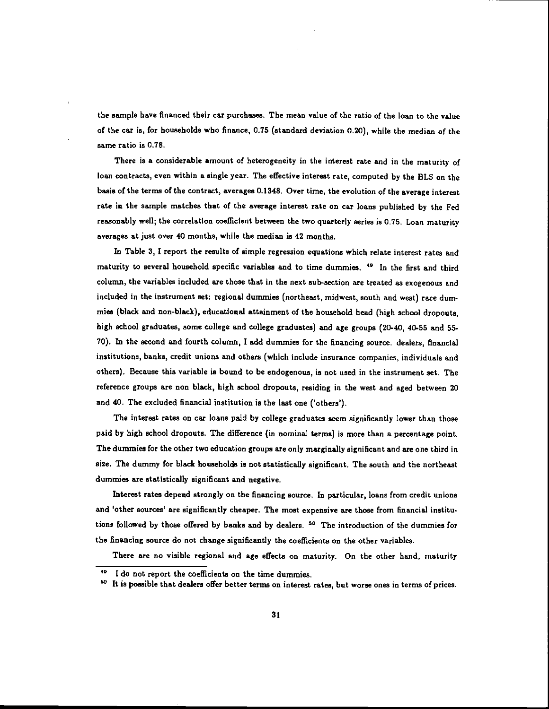the sample have financed their car purchases. The mean value of the ratio of the loan to the value of the car is, for households who finance, 075 (standard deviation 0.20), while the median of the same ratio is 0.78.

There is a considerable amount of heterogeneity in the interest rate and in the maturity of loan contracts, even within a single year. The effective interest rate, computed by the BLS on the basis of the terms of the contract, averages 0.1348. Over time, the evolution of the average interest rate in the sample matches that of the average interest rate on car loans published by the Fed reasonably well; the correlation coefficient between the two quarterly series is 0.75. Loan maturity averages at just over 40 months, while the median is 42 months.

In Table 3, 1 report the results of simple regression equations which relate interest rates and maturity to several household specific variables and to time dummies. <sup>49</sup> In the first and third column, the variables included are those that in the next sub-section are treated as exogenous and included in the instrument set: regional dummies (northeast, midwest, south and west) race dummies (black and non-black), educational attainment of the household head (high school dropouts, high school graduates, some college and college graduates) and age groups (20-40, 40-55 and 55- 70). In the second and fourth column, I add dummies for the financing source: dealers, financial institutions, banks, credit unions and others (which include insurance companies, individuals and others). Because this variable is bound to be endogenous, is not used in the instrument set. The reference groups are non black, high school dropouts, residing in the west and aged between 20 and 40. The excluded financial institution is the last one ('others').

The interest rates on car loans paid by college graduates seem significantly lower than those paid by high school dropouts. The difference (in nominal terms) is more than a percentage point. The dummies for the other two education groups are only marginally significant and are one third in size. The dummy for black households is not statistically significant. The south and the northeast dummies are statistically significant and negative.

Interest rates depend strongly on the financing source. In particular, loans from credit unions and 'other sources' are significantly cheaper. The most expensive are those from financial institutions followed by those offered by banks and by dealers. <sup>50</sup> The introduction of the dummies for the financing source do not change significantly the coefficients on the other variables.

There are no visible regional and age effects on maturity. On the other hand, maturity

I do not report the coefficients on the time dummies.

It is possible that dealers offer better terms on interest rates, but worse ones in terms of prices.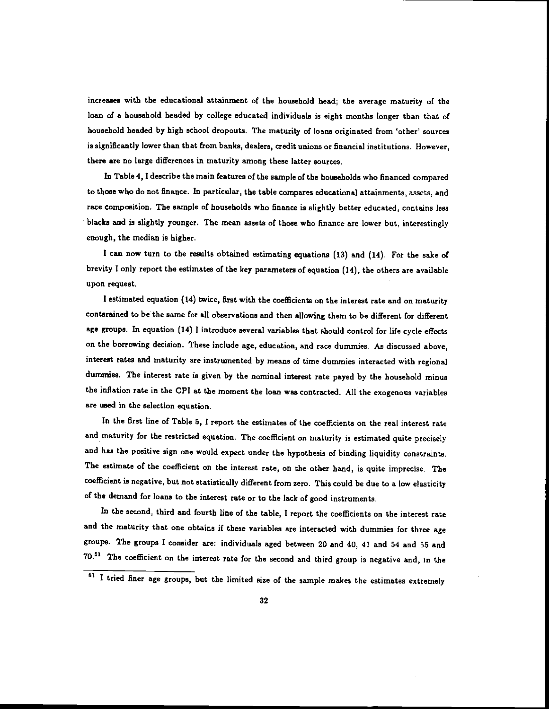increases with the educational attainment of the household head; the average maturity of the loan of a household headed by college educated individuals is eight months longer than that of household beaded by high school dropouts. The maturity of loans originated from 'other' sources is significantly lower than that from banks, dealers, credit unions or financial institutions. However, there are no large differences in maturity among these latter sources.

In Table 4, I describe the main features of the sample of the households who financed compared to those who do not finance. In particular, the table compares educational attainments, assets, and race composition. The sample of households who finance is slightly better educated, contains less blacks and is slightly younger. The mean assets of those who finance are lower but, interestingly enough, the median is higher.

I can now turn to the results obtained estimating equations (13) and (14). For the sake of brevity I only report the estimates of the key parameters of equation (14), the others are available upon request.

I estimated equation (14) twice, first with the coefficients on the interest rate and on maturity contsrained to be the same for all observations and then allowing them to be different for different age groups. In equation (14) I introduce several variables that should control for life cycle effects on the borrowing decision. These include age, education, and race dummies. As discussed above, interest rates and maturity are instrumented by means of time dummies interacted with regional dummies. The interest rate is given by the nominal interest rate payed by the household minus the inflation rate in the CPI at the moment the loan was contracted. All the exogenous variables are used in the selection equation.

In the first line of Table 5, 1 report the estimates of the coefficients on the real interest rate and maturity for the restricted equation. The coefficient on maturity is estimated quite precisely and has the positive sign one would expect under the hypothesis of binding liquidity constraints. The estimate of the coefficient on the interest rate, on the other hand, is quite imprecise. The coefficient is negative, but not statistically different from zero. This could be due to a low elasticity of the demand for loans to the interest rate or to the lack of good instruments.

In the second, third and fourth line of the table, I report the coefficients on the interest rate and the maturity that one obtains if these variables are interacted with dummies for three age groups. The groups I consider are: individuals aged between 20 and 40, 41 and 54 and 55 and 70.51 The coefficient on the interest rate for the second and third group is negative and, in the '

I tried finer age groups, but the limited size of the sample makes the estimates extremely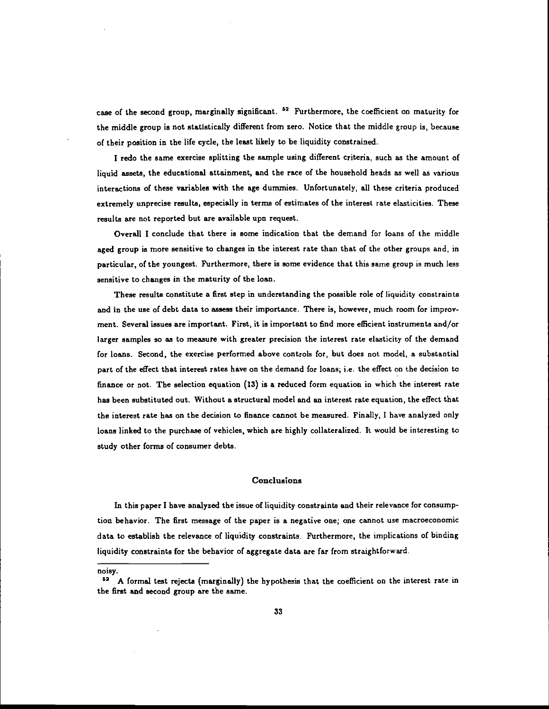case of the second group, marginally significant. <sup>62</sup> Furthermore, the coefficient on maturity for the middle group is not statistically different from zero. Notice that the middle group is, because of their position in the life cycle, the least likely to be liquidity constrained.

I redo the same exercise splitting the sample using different criteria, such as the amount of liquid assets, the educational attainment, and the race of the household heads as well as various interactions of these variables with the age dummies. Unfortunately all these criteria produced extremely unprecise results, especially in terms of estimates of the interest rate elasticities. These results are not reported but are available upn request.

Overall I conclude that there is some indication that the demand for loans of the middle aged group is more sensitive to changes in the interest rate than that of the other groups and, in particular, of the youngest. Furthermore, there is some evidence that this same group is much less sensitive to changes in the maturity of the loan.

These results constitute a first step in understanding the possible role of liquidity constraints and in the use of debt data to assess their importance. There is, however, much room for improvmerit. Several issues are important. First, it is important to find more efficient instruments and/or larger samples so as to measure with greater precision the interest rate elasticity of the demand for loans. Second, the exercise performed above controls for, but does not model, a substantial part of the effect that interest rates have on the demand for loans; i.e. the effect on the decision to finance or not. The selection equation (13) is a reduced form equation in which the interest rate has been substituted out. Without a structural model and an interest rate equation, the effect that the interest rate has on the decision to finance cannot be measured. Finally, I have analyzed only loans linked to the purchase of vehicles, which are highly collateralized. It would be interesting to study other forms of consumer debts.

### Conclusions

In this paper I have analyzed the issue of liquidity constraints and their relevance for consumption behavior. The first message of the paper is a negative one; one cannot use macroeconomic data to establish the relevance of liquidity constraints. Furthermore, the implications of binding liquidity constraints for the behavior of aggregate data are far from straightforward

noisy.<br><sup>62</sup> A formal test rejects (marginally) the hypothesis that the coefficient on the interest rate in the first and second group are the same.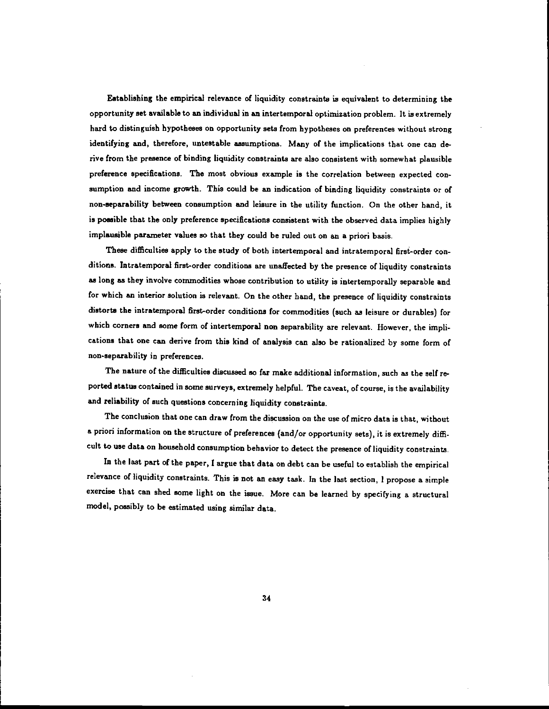Establishing the empirical relevance of liquidity constraints is equivalent to determining the opportunity set available to an individual in an intertemporal optimization problem. It is extremely hard to distinguish hypotheses on opportunity sets from hypotheses on preferences without strong identifying and, therefore, untestable assumptions. Many of the implications that one can derive from the presence of binding liquidity constraints are also consistent with somewhat plausible preference specifications. The most obvious example is the correlation between expected consumption and income growth. This could be an indication of binding liquidity constraints or of non-separability between consumption and leisure in the utility function. On the other hand, it is possible that the only preference specifications consistent with the observed data implies highly implausible parameter values so that they could be ruled out on an a priori basis

These difficulties apply to the study of both intertemporal and intratemporal first-order conditions. Intratemporal first-order conditions are unaffected by the presence of liqudity constraints as long as they involve commodities whose contribution to utility is intertemporally separable and for which an interior solution is relevant. On the other hand, the presence of liquidity constraints distorts the intratemporaj first-order conditions for commodities (such as leisure or durables) for which corners and some form of intertemporal non separability are relevant. However, the implications that one can derive from this kind of analysis can also be rationalized by some form of non-separability in preferences.

The nature of the difficulties discussed so far make additional information, such as the self reported status contained in some surveys, extremely helpful. The caveat, of course, is the availability and reliability of such questions concerning liquidity constraints.

The conclusion that one can draw from the discussion on the use of micro data is that, without a priori information on the structure of preferences (and/or opportunity sets), it is extremely difficult to use data on household consumption behavior to detect the presence of liquidity constraints.

In the last part of the paper, I argue that data on debt can be useful to establish the empirical relevance of liquidity constraints. This is not an easy task. In the last section, 1 propose a simple exercise that can shed some light on the issue. More can be learned by specifying a structural model, possibly to be estimated using similar data.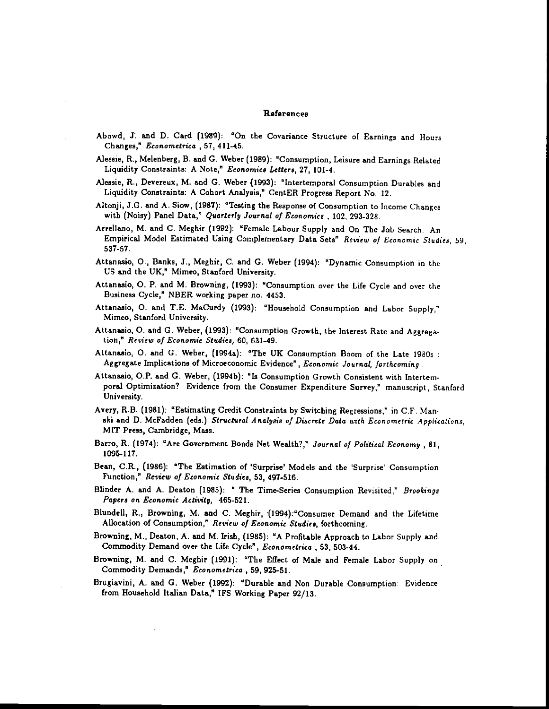# References

- Abowd, J. and D. Card (1989): "On the Covariance Structure of Earnings and Hours Changes," Econometrica , 57, 411-45.
- Alessie, R., Melenberg, B. and G. Weber (1989): "Consumption, Leisure and Earnings Related Liquidity Constraints: A Note," Economics Letters, 27, 101-4.
- Alessie, H., Devereux, M. and G. Weber (1993): "Intertemporal Consumption Durables and Liquidity Constraints: A Cohort Analysis," CentER Progress Report No. 12.
- Altonji, J.G. and A. Slow, (1987): "Testing the Response of Consumption to Income Changes with (Noisy) Panel Data," Quarterly Journal of Economics , 102, 293-328.
- Arrellano, M. and C. Meghir (1992): "Female Labour Supply and On The Job Search. An Empirical Model Estimated Using Complementary Data Sets" Review of Economic Studies, 59, 537-57.
- Attanasio, O., Banks, J., Meghir, C. and G. Weber (1994): "Dynamic Consumption in the US and the UK," Mimeo, Stanford University.
- Attanasio, O. P. and M. Browning, (1993): "Consumption over the Life Cycle and over the Business Cycle," NBER working paper no. 4453.
- Attanasio, 0. and T.E. MaCurdy (1993): "Household Consumption and Labor Supply," Mirneo, Stanford University.
- Attanasio, 0, and C. Weber, (1993): "Consumption Growth, the Interest Rate and Aggregation," Review of Economic Studies, 60, 631-49.
- Attanasio. O. and G. Weber, (1994a): "The UK Consumption Boom of the Late 1980s : Aggregate Implications of Microeconomic Evidence", Economic Journal, forthcoming
- Attanasio, O.P. and G. Weber, (1994b): "Is Consumption Growth Consistent with Intertemporal Optimization? Evidence from the Consumer Expenditure Survey," manuscript, Stanford University.
- Avery, R.B. (1981): "Estimating Credit Constraints by Switching Regressions," in CF. Manski and D. McFadden (eds.) Structural Analysis of Discrete Data with Econometric Applications, MIT Press, Cambridge, Mass.
- Barro, R. (1974): "Are Government Bonds Net Wealth?," Journal of Political Economy, 81, 1095-117.
- Bean, CR., (1986): "The Estimation of 'Surprise' Models and the 'Surprise' Consumption Function," Review of Economic Studies, 53, 497-516.
- Blinder A. and A. Deaton (1985): " The Time-Series Consumption Revisited," Brookings Papers on Economic Activity, 465-521.
- Blundell, R., Browning, M. and C. Meghir, (1994):"Consumer Demand and the Lifetime Allocation of Consumption," Review of Economic Studies, forthcoming.
- Browning, M., Deaton, A. and M. Irish, (1985): "A Profitable Approach to Labor Supply and Commodity Demand over the Life Cycle", Econometrica , 53, 503-44.
- Browning, M. and C. Meghir (1991): "The Effect of Male and Female Labor Supply on Commodity Demands," Econometrica , 59, 925-51.
- Brugiavini, A. and C. Weber (1992): "Durable and Non Durable Consumption: Evidence from Household Italian Data," IFS Working Paper 92/13.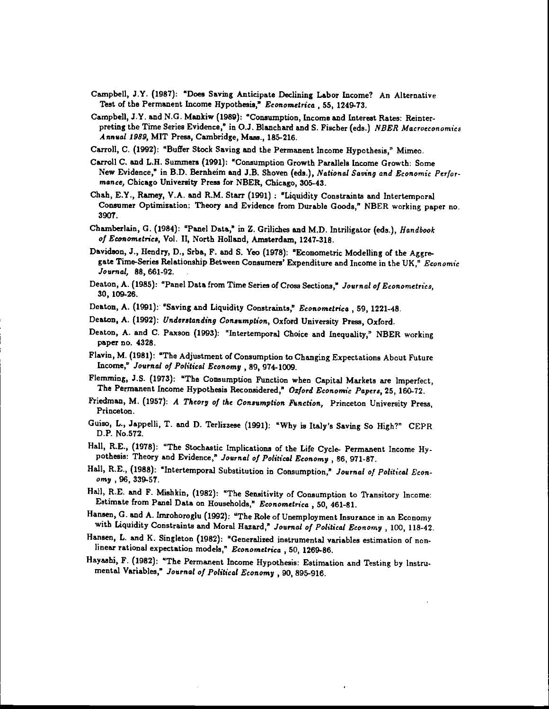- Campbell, J.Y. (1987): "Does Saving Anticipate Declining Labor Income? An Alternative Test of the Permanent Income Hypothesis," Econometrica, 55, 1249-73.
- Campbell, J.Y. and N.G. Mankiw (1989): "Consumption, Income and Interest Rates: Reinterpreting the Time Series Evidence," in O.J. Blanchard and S. Fischer (eds.) NBER Macroeconomics Annual 1989, MIT Press, Cambridge, Mass., 185-216.
- Carroll, C. (1992): "Buffer Stock Saving and the Permanent Income Hypothesis," Mimeo,
- Carroll C. and L.H. Summers (1991): "Consumption Growth Parallels Income Growth: Some New Evidence," in B.D. Bernheim and J.B. Shoven (eds.), National Saving and Economic Performance, Chicago University Press for NBER, Chicago, 305-43.
- Chah, E.Y., Ramey, V.A. and R.M. Starr (1991) : "Liquidity Constraints and intertempora] Consumer Optimization: Theory and Evidence from Durable Goods," NBER working paper no. 3907.
- Chamberlain, G. (1984): "Panel Data," in Z. Griliches and M.D. Intriligator (eds.), Handbook of Econometrics, Vol. II, North Holland, Amsterdam, 1247-318.
- Davidson, J., Hendry, D., Srba, F. and S. Yeo (1978): "Econometric Modelling of the Aggregate Time-Series Relationship Between Consumers' Expenditure and Income in the UK," Economic Journal, 88, 661-92.
- Deaton, A. (1985): "Panel Data from Time Series of Cross Sections," Journal of Econometrics, 30, 109-26.
- Deaton, A. (1991): "Saving and Liquidity Constraints," Econometrica, 59, 1221-48.
- Deaton, A. (1992): Understanding Consumption, Oxford University Press, Oxford.
- Deaton, A. and C. Paxson (1993): "Intertemporal Choice and Inequality," NBER working paper no. 4328.
- Flavin, M. (1981): "The Adjustment of Consumption to Changing Expectations About Future Income," Journal of Political Economy ,89, 974-1009.
- Flemming, 3.5. (1973): "The Consumption Function when Capital Markets are Imperfect, The Permanent Income Hypothesis Reconsidered," Oxford Economic Papers, 25, 160-72.
- Friedman, M. (1957): A Theory of the Consumption Function, Princeton University Press, Princeton.
- Guiso, L., Jappelli, T. and D. Terlizzese (1991): "Why is Italy's Saving So High?" CEPR D.P. No.572.
- Hall, R.E., (1978): "The Stochastic Implications of the Life Cycle- Permanent Income Hypothesis: Theory and Evidence," Journal of Political Economy, 86, 971-87.
- Hall, R.E., (1988): "Intertemporal Substitution in Consumption," Journal of Political Economy , 96, 339-57.
- Hall, R.E. and F. Mishkin, (1982): "The Sensitivity of Consumption to Transitory Income: Estimate from Panel Data on Households," Econometrica, 50, 461-81.
- Hansen, G. and A. Imrohoroglu (1992): "The Role of Unemployment Insurance in an Economy with Liquidity Constraints and Moral Hazard," Journal of Political Economy , 100, 118-42.
- Hansen, L. and K. Singleton (1982): "Generalized instrumental variables estimation of nonlinear rational expectation models," Econometrica, 50, 1269-86.
- Haysahi, F. (1982): "The Permanent Income Hypothesis: Estimation and Testing by instrumental Variables," Journal of Political Economy , 90, 895-916.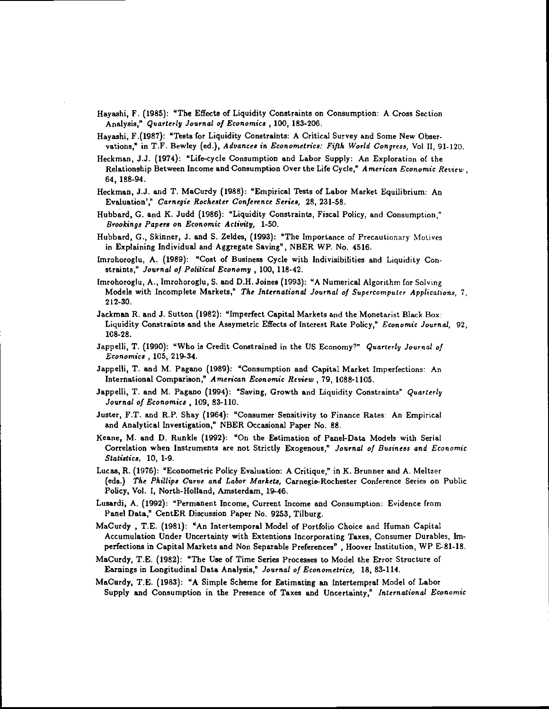Hayashi, F. (1985): "The Effects of Liquidity Constraints on Consumption: A. Cross Section Analysis," Quarterly Journal of Economics , 100, 183-206.

Hayashi, F.(1987): "Tests for Liquidity Constraints: A Critical Survey and Some New Observations," in T.F. Bewley (ed), Advances in Econometrics: Fifth World Congress, Vol II, 91-120.

Heckman, J.J. (1974): "Life-cycle Consumption and Labor Supply: An Exploration of the Relationship Between Income and Consumption Over the Life Cycle," American Economic Review, 64, 188-94.

Heckman, J.J. and T. MaCurdy (1988): "Empirical Tests of Labor Market Equilibrium: An Evaluation'," Carnegie Rochester Conference Series, 28, 231-58.

- Hubbard, C. and K. Judd (1986): "Liquidity Constraints Fiscal Policy, and Consumption," Brookings Papers on Economic Activity, 1-50.
- Hubbard, C., Skinner, J. and S. Zeldes, (1993): "The Importance of Precautionary Motives in Explaining Individual and Aggregate Saving", NBER WP. No. 4516.
- lmrohoroglu, A. (1989): "Cost of Business Cycle with Indivisibilities and Liquidity Constraints," Journal of Political Economy , 100, 118-42.
- Imrohoroglu, A., Imrohoroglu, S. and D.H. Joines (1993): "A Numerical Algorithm for Solving Models with Incomplete Markets," The International Journal of Supercomputer Applications, 7, 212-30.
- Jackman R. and J. Sutton (1982): "Imperfect Capital Markets and the Monetarist Black Box: Liquidity Constraints and the Assymetric Effects of Interest Rate Policy," Economic Journal, 92, 108-28.
- Jappelli, T. (1990): "Who is Credit Constrained in the US Economy?" Quarterly Journal of Economics , 105, 219-34.
- Jappelli, T. and M. Pagano (1989): "Consumption and Capital Market Imperfections: An International Comparison," American Economic Review , 79, 1088-1105.
- Jappelli, T. and M. Pagano (1994): "Saving, Growth and Liquidity Constraints" Quarterly Journal of Economics , 109, 83-110.
- Juster, FT. and R.P. Shay (1964): "Consumer Sensitivity to Finance Rates: An Empirical and Analytical Investigation," NBER Occasional Paper No. 88.
- Keane, M. and D. Runkle (1992): "On the Estimation of Panel-Data Models with Serial Correlation when Instruments are not Strictly Exogenous," Journal of Busincss and Economic Statistics, 10, 1-9.
- Lucas, R. (1976): "Econometric Policy Evaluation: A Critique," in K. Brunner and A. Meltrer (eds.) The Phillips Curve and Labor Markets, Carnegie-Rochester Conference Series on Public Policy, Vol. I, North-Holland, Amsterdam, 19-46.
- Lusardi, A. (1992): "Permanent Income, Current Income and Consumption: Evidence from Panel Data," CentER Discussion Paper No. 9253, Tilburg.
- MaCurdy , T.E. (1981): "An Intertemporal Model of Portfolio Choice and Human Capital Accumulation Under Uncertainty with Extentions Incorporating Taxes, Consumer Durables, Imperfections in Capital Markets and Non Separable Preferences" , Hoover Institution WP E-81-18,
- MaCurdy, T.E. (1982): "The Use of Time Series Processes to Model the Error Structure of Earnings in Longitudinal Data Analysis," Journal of Econometrics, 18, 83-114.
- MaCurdy, T.E. (1983): "A Simple Scheme for Estimating an Intertempral Model of Labor Supply and Consumption in the Presence of Taxes and Uncertainty," International Economic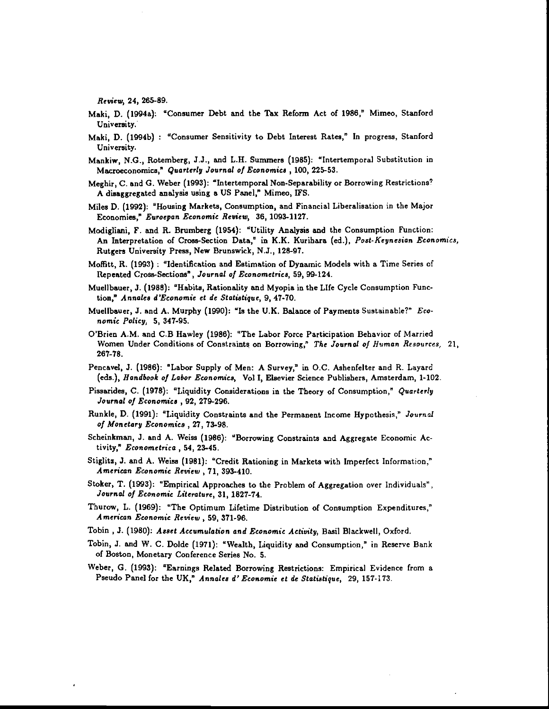Review, 24, 265-89.

- Maki, D. (1994a): "Consumer Debt and the Tax Reform Act of 1986," Mimeo, Stanford University.
- Maki, D. (1994b) : "Consumer Sensitivity to Debt Interest Rates," In progress, Stanford University.
- Mankiw, N.G., Rotemberg, J.J., and L.H. Summers (1985): "Intertemporal Substitution in Macroeconomics," Quarterly Journal of Economics , 100, 225-53.
- Meghir, C. and G. Weber (1993): "Intertemporal Non-Separability or Borrowing Restrictions? A disaggregated analysis using a US Panel," Mimeo, IFS.
- Miles D. (1992): "Housing Markets, Consumption, and Financial Liberalisation in the Major Economies," Euroepan Economic Review, 36, 1093-1127.
- Modigliani, F. and K. Brumberg (1954): "Utility Analysis and the Consumption Function: An Interpretation of Cross-Section Data," in K.K. Kurihara (ed.), Post-Keynesian Economics, Rutgers University Press, New Brunswick, N.J., 128-97.
- Moffitt, R. (1993) : "Identification and Estimation of Dynamic Models with a Time Series of Repeated Cross-Sections", Journal of Econometrics, 59, 99-124.
- Muellbauer, J. (1988): "Habits, Rationality and Myopia in the Life Cycle Consumption Function," Annales d'Economie et de Statistique, 9, 47-70.
- Muellbauer, J. and A. Murphy (1990): "Is the U.K. Balance of Payments Sustainable?" Economic Policy, 5, 347-95.
- O'Brien A.M. and C.B Hawley (1986): "The Labor Force Participation Behavior of Married Women Under Conditions of Constraints on Borrowing," The Journal of Human Resources, 21, 267-78.
- Pencavel, J. (1986): "Labor Supply of Men: A Survey," in O.C. Ashenfelter and R. Layard (eds.), Handbook of Labor Economics, Vol I, Elsevier Science Publishers, Amsterdam, 1-102.
- Pissarides, C. (1978): "Liquidity Considerations in the Theory of Consumption," Quarterly Journal of Economics , 92, 279-296.
- Runkle, D. (1991): "Liquidity Constraints and the Permanent income Hypothesis," Journal of Monetary Economics , 27, 73-98.
- Scheinkman, 3. and A. Weiss (1986): "Borrowing Constraints and Aggregate Economic Activity," Econometrica , 54, 23—45.
- Stiglitz, J. and A. Weiss (1981): "Credit Rationing in Markets with Imperfect Information," American Economic Review ,71, 393-410.
- Stoker, T. (1993): "Empirical Approaches to the Problem of Aggregation over Individuals", Journal of Economic Literature, 31, 1827-74.
- Thurow, L. (1969): "The Optimum Lifetime Distribution of Consumption Expenditures," American Economic Review , 59, 371-96.
- Tobin , 3. (1980): Asset Accumulation and Economic Activity, Basil Blackwetl, Oxford.
- Tobin, 3. and W. C. Dolde (1971): "Wealth, Liquidity and Consumption," in Reserve Bank of Boston, Monetary Conference Series No. 5.
- Weber, G. (1993): "Earnings Related Borrowing Restrictions: Empirical Evidence from a Pseudo Panel for the UK," Annales d' Economie et de Statistique, 29, 157-173.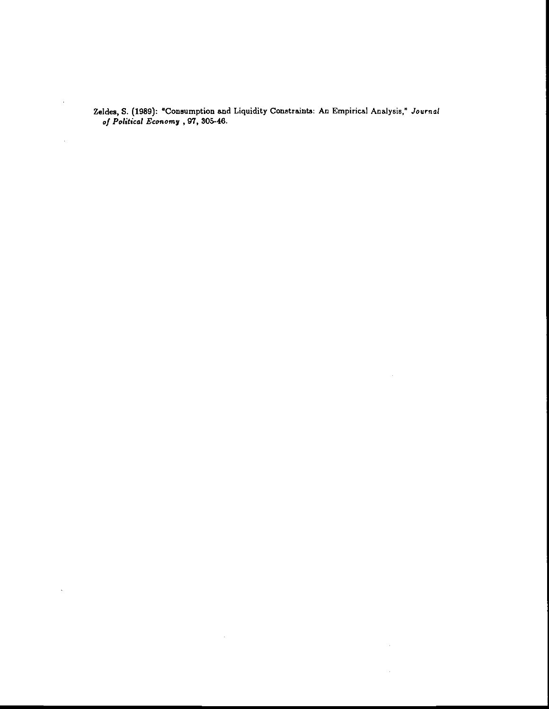Zeldes, S. (1989): Consumption and Liquidity Constraints: An Empirical Analysis," Journal of Political Economy , 97, 305-46.

 $\bar{A}$ 

 $\sim$ 

 $\bar{z}$ 

 $\bar{z}$ 

 $\hat{\boldsymbol{\epsilon}}$ 

 $\ddot{\phantom{a}}$ 

i,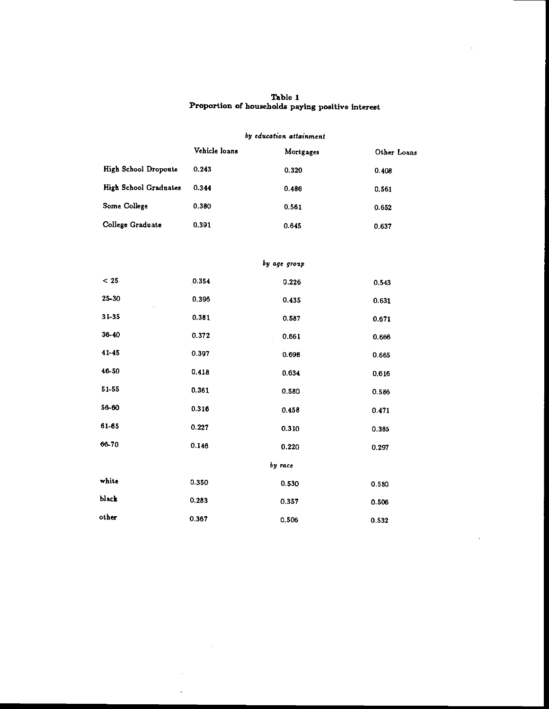| by education attainment |               |              |             |
|-------------------------|---------------|--------------|-------------|
|                         | Vehicle loans | Mortgages    | Other Loans |
| High School Dropouts    | 0.243         | 0.320        | 0.408       |
| High School Graduates   | 0.344         | 0.486        | 0.561       |
| Some College            | 0.380         | 0.561        | 0.652       |
| College Graduate        | 0.391         | 0.645        | 0.637       |
|                         |               |              |             |
|                         |               | by age group |             |
| < 25                    | 0.354         | 0.226        | 0.543       |
| 25-30                   | 0.396         | 0.435        | 0.631       |
| $31 - 35$               | 0.381         | 0.587        | 0.671       |
| $36 - 40$               | 0.372         | 0.661        | 0.666       |
| $41 - 45$               | 0.397         | 0.698        | 0.665       |
| 46-50                   | 0.418         | 0.634        | 0.616       |
| $51 - 55$               | 0.361         | 0.580        | 0.586       |
| 56-60                   | 0.316         | 0.458        | 0.471       |
| 61-65                   | 0.227         | 0.310        | 0.385       |
| 66-70                   | 0.146         | 0.220        | 0.297       |
| by race                 |               |              |             |
| white                   | 0.350         | 0.530        | 0.580       |
| black                   | 0.283         | 0.357        | 0.506       |
| other                   | 0.367         | 0.506        | 0.532       |

 $\sim$   $\sim$ 

 $\mathbb{R}^2$ 

 $\mathcal{L}$ 

# Table 1 Proportion of households paying positive Interest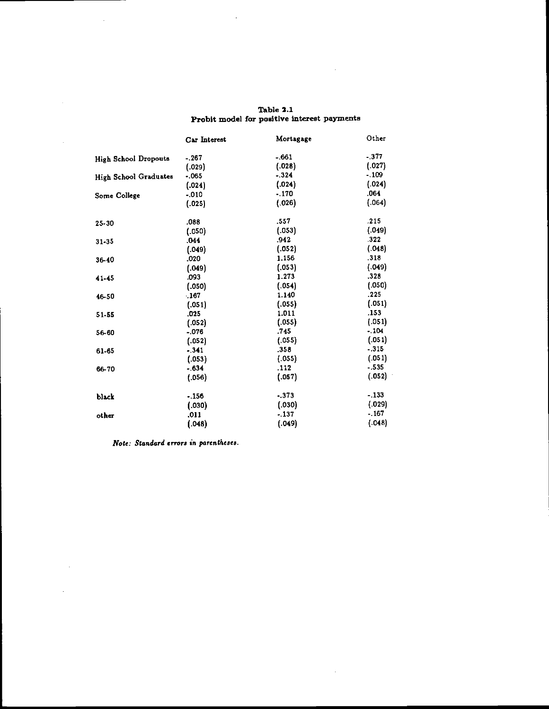|                       | Car Interest | Mortagage | Other   |
|-----------------------|--------------|-----------|---------|
| High School Dropouts  | $-.267$      | $-.661$   | $-377$  |
|                       | (.029)       | (.028)    | (.027)  |
| High School Graduates | $-.065$      | $-324$    | $-109$  |
|                       | (.024)       | (.024)    | (024)   |
| Some College          | $-0.010$     | $-.170$   | .064    |
|                       | (.025)       | (.026)    | (.064)  |
| 25-30                 | .088         | .557      | .215    |
|                       | (.050)       | (.053)    | (.049)  |
| 31 35                 | .044         | .942      | .322    |
|                       | (.049)       | (.052)    | (0.018) |
| $36 - 40$             | .020         | 1.156     | .318    |
|                       | (.049)       | (.053)    | (.049)  |
| 41-45                 | .093         | 1.273     | .328    |
|                       | (.050)       | (.054)    | (.050)  |
| 46-50                 | .167         | 1.140     | .225    |
|                       | (.051)       | (.055)    | (0.51)  |
| 51-55                 | .025         | 1.011     | .153    |
|                       | (.052)       | (.055)    | (.051)  |
| 56-60                 | $-.076$      | .745      | $-104$  |
|                       | (.052)       | (.055)    | (.051)  |
| 61-65                 | $-.341$      | .358      | $-315$  |
|                       | (.053)       | (.055)    | (.051)  |
| 66-70                 | $-.634$      | .112      | $-535$  |
|                       | (.056)       | (.057)    | (052)   |
| black                 | $-.156$      | $-.373$   | $-.133$ |
|                       | (.030)       | (.030)    | (.029)  |
| other                 | .011         | $-137$    | $-167$  |
|                       | (.048)       | (.049)    | (.048)  |

 $\sim$ 

 $\sim$ 

 $\sim$ 

 $\bar{z}$ 

 $\sim 10^7$ 

 $\ddot{\phantom{0}}$ 

Table 2.1 Probit model for positive interest payments

 $\mathcal{L}^{\text{max}}_{\text{max}}$  , where  $\mathcal{L}^{\text{max}}_{\text{max}}$ 

 $\sim$ 

Note: Standard errors in parentheses.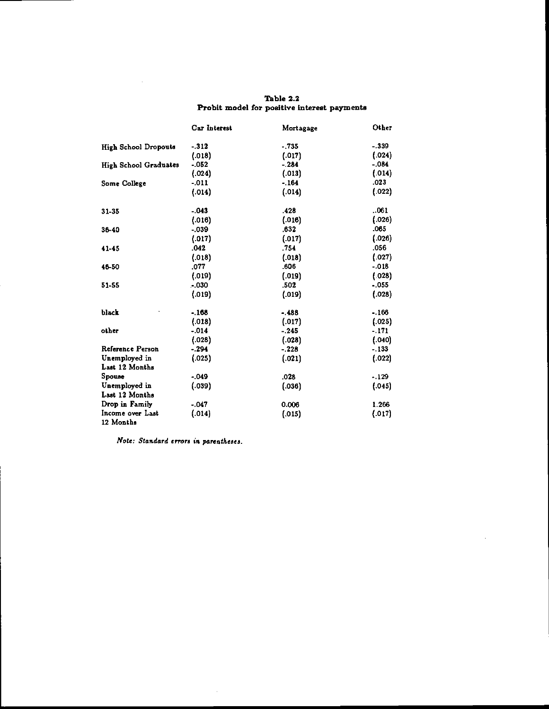|                               | Car Interest | Mortagage | Other   |
|-------------------------------|--------------|-----------|---------|
| High School Dropouts          | $-312$       | $-.735$   | $-.339$ |
|                               | (.018)       | (.017)    | (.024)  |
| High School Graduates         | $-052$       | $-.284$   | $-.084$ |
|                               | (.024)       | (.013)    | (.014)  |
| Some College                  | $-011$       | $-.164.$  | .023    |
|                               | (.014)       | (.014)    | (.022)  |
| $31 - 35$                     | $-.043$      | .428      | .061    |
|                               | (.016)       | (.016)    | (.026)  |
| 36-40                         | $-039$       | .632      | .065    |
|                               | (.017)       | (.017)    | (.026)  |
| 41-45                         | .042         | .754      | .056    |
|                               | (.018)       | (.018)    | (.027)  |
| 46-50                         | .077         | .606      | $-018$  |
|                               | (.019)       | (.019)    | (.028)  |
| 51-55                         | $-0.30$      | .502      | $-.055$ |
|                               | (.019)       | (.019)    | (.028)  |
| black                         | $-168$       | $-.488$   | $-.166$ |
|                               | (.018)       | (.017)    | (.025)  |
| other                         | $-.014$      | $-.245$   | $-.171$ |
|                               | (.028)       | (.028)    | (.040)  |
| Reference Person              | $-294$       | $-.228$   | $-.133$ |
| Unemployed in                 | (.025)       | (.021)    | (.022)  |
| Last 12 Months                |              |           |         |
| Spouse                        | $-049$       | .028      | $-.129$ |
| Unemployed in                 | (.039)       | (.036)    | (.045)  |
| Last 12 Months                |              |           |         |
| Drop in Family                | $-.047$      | 0.006     | 1.266   |
| Income over Last<br>12 Months | (.014)       | (.015)    | (.017)  |

| Table 2.2                                   |
|---------------------------------------------|
| Probit model for positive interest payments |

Note: Standard errors in parentheses.

 $\alpha$ 

 $\mathcal{A}$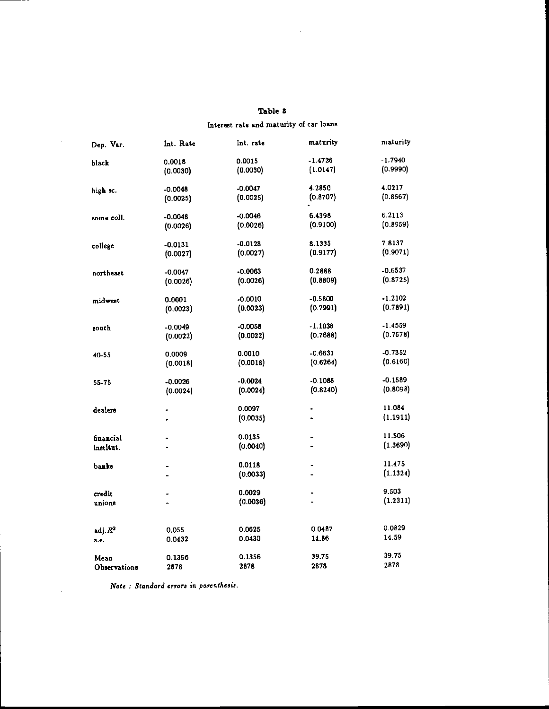| Dep. Var.    | Int. Rate | Int. rate             | maturity                 | maturity              |  |
|--------------|-----------|-----------------------|--------------------------|-----------------------|--|
| black        | 0.0018    | 0.0015<br>(0.0030)    | $-1.4726$<br>(1.0147)    | $-1.7940$<br>(0.9990) |  |
|              | (0.0030)  |                       |                          |                       |  |
| high sc.     | $-0.0048$ | $-0.0047$<br>(0.0025) | 4.2850<br>(0.8707)       | 4.0217<br>(0.8567)    |  |
|              | (0.0025)  |                       |                          |                       |  |
| some coll.   | $-0.0048$ | $-0.0046$             | 6.4398                   | 6.2113                |  |
|              | (0.0026)  | (0.0026)              | (0.9100)                 | (0.8959)              |  |
| college      | $-0.0131$ | $-0.0128$             | 8.1335                   | 7.8137                |  |
|              | (0.0027)  | (0.0027)              | (0.9177)                 | (0.9071)              |  |
| northeast    | $-0.0047$ | $-0.0063$             | 0.2888                   | $-0.6537$             |  |
|              | (0.0026)  | (0.0026)              | (0.8809)                 | (0.8725)              |  |
| midwest      | 0.0001    | -0.0010               | $-0.5800$                | -1.2102               |  |
|              | (0.0023)  | (0.0023)              | (0.7991)                 | (0.7891)              |  |
| south        | $-0.0049$ | $-0.0058$             | $-1.1038$                | -1.4559               |  |
|              | (0.0022)  | (0.0022)              | (0.7688)                 | (0.7578)              |  |
|              | 0.0009    | 0.0010                | $-0.6631$                | $-0.7352$             |  |
| 40-55        | (0.0018)  | (0.0018)              | (0.6264)                 | (0.6160)              |  |
| 55-75        | $-0.0026$ | $-0.0024$             | $-0.1088$                | $-0.1589$             |  |
|              | (0.0024)  | (0.0024)              | (0.8240)                 | (0.8098)              |  |
| dealers      |           | 0.0097                |                          | 11.084                |  |
|              |           | (0.0035)              |                          | (1.1911)              |  |
| financial    |           | 0.0135                |                          | 11.506                |  |
| institut.    | ۰.        | (0.0040)              | $\overline{\phantom{0}}$ | (1.3690)              |  |
| banks        |           | 0.0118                |                          | 11.475                |  |
|              | ۰         | (0.0033)              | -                        | (1.1324)              |  |
| credit       | ۰         | 0.0029                | ٠                        | 9.503                 |  |
| unions       | -         | (0.0036)              | $\overline{a}$           | (1.2311)              |  |
|              |           |                       |                          |                       |  |
| adj $R^2$    | 0.055     | 0.0625                | 0.0487                   | 0.0829                |  |
| s.e.         | 0.0432    | 0.0430                | 14.86                    | 14.59                 |  |
| Mean         | 0.1356    | 0.1356                | 39.75                    | 39.75                 |  |
| Observations | 2878      | 2878                  | 2878                     | 2878                  |  |

Table 3 Interest rate and maturity of car loans

Note : Standard errors in parenthesis.

÷,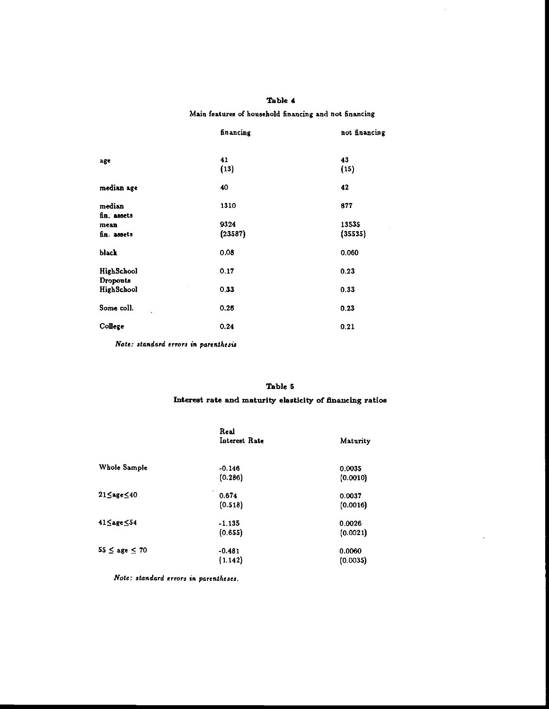# Table 4

Main features of household financing and not financing

|                        | financing  | not financing      |
|------------------------|------------|--------------------|
| age                    | 41<br>(13) | 43<br>(15)         |
| median age             | 40         | 42                 |
| median<br>fin. assets  | 1310       | 677                |
| теад                   | 9324       | 13535<br>$\bar{ }$ |
| fin. assets            | (23587)    | (35535)            |
| black                  | 0.08       | 0.060              |
| HighSchool<br>Dropouts | 0.17       | 0.23               |
| HighSchool             | 0.33       | 0.33               |
| Some coll.             | 0.26       | 0.23               |
| College                | 0.24       | 0.21               |

Note: standard errors in parenthesis

# Table 5

Interest rate and maturity elasticity of financing ratios

|                              | Real<br>Interest Rate | Maturity |
|------------------------------|-----------------------|----------|
| Whole Sample                 | $-0.146$              | 0.0035   |
|                              | (0.286)               | (0.0010) |
| $21 \leq age \leq 40$        | 0.674                 | 0.0037   |
|                              | (0.518)               | (0.0016) |
| $41 \leq \text{age} \leq 54$ | $-1135$               | 0.0026   |
|                              | (0.655)               | (0.0021) |
| $55 \leq age \leq 70$        | $-0.481$              | 0.0060   |
|                              | (1.142)               | (0.0035) |

Note: standard errors in parentheses.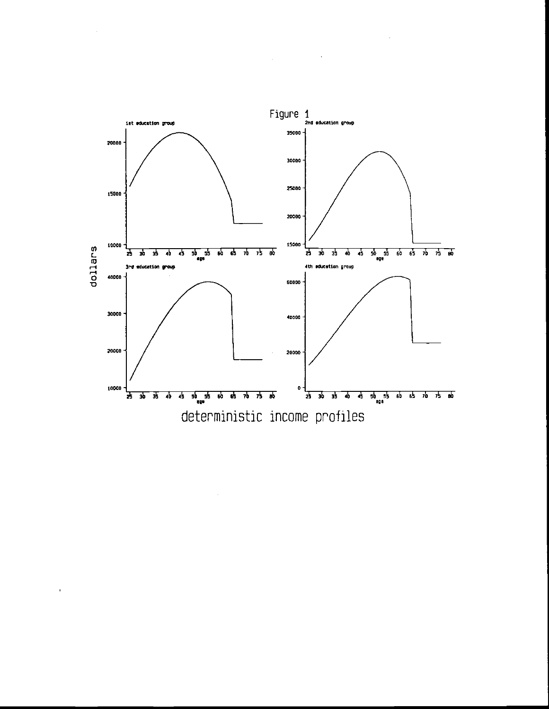

 $\bar{\beta}$ 

 $\mathcal{L}_{\text{max}}$  and  $\mathcal{L}_{\text{max}}$  and  $\mathcal{L}_{\text{max}}$ 

 $\bar{z}$ 

 $\bar{\gamma}$ 

 $\bar{t}$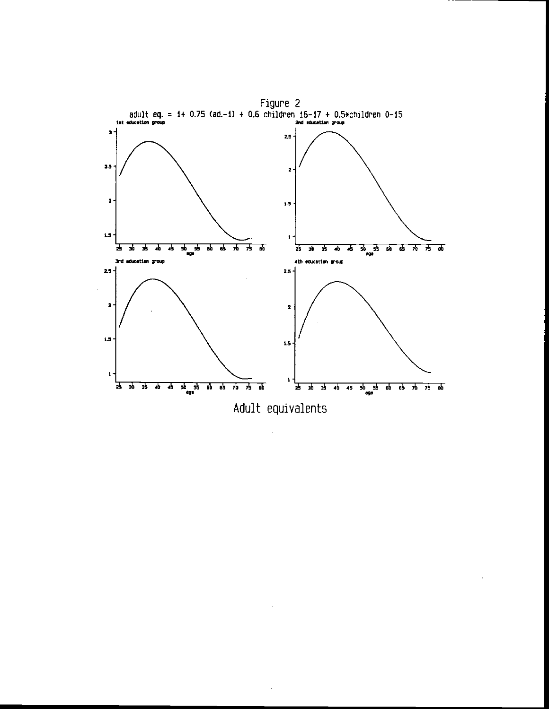

 $\hat{\mathcal{A}}$ 

 $\bar{z}$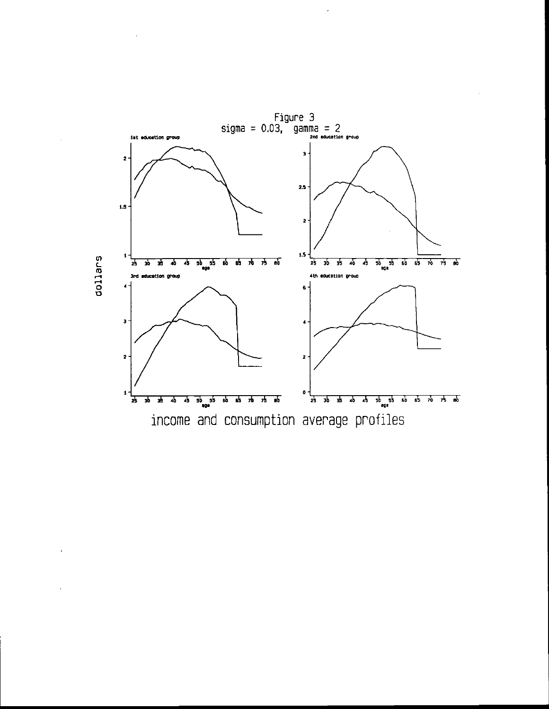